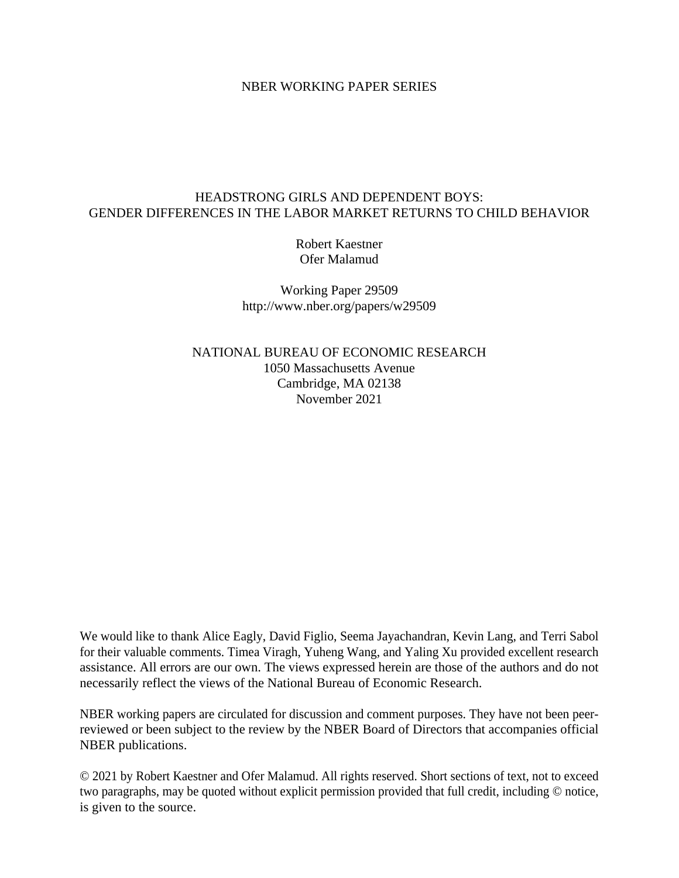## NBER WORKING PAPER SERIES

# HEADSTRONG GIRLS AND DEPENDENT BOYS: GENDER DIFFERENCES IN THE LABOR MARKET RETURNS TO CHILD BEHAVIOR

Robert Kaestner Ofer Malamud

Working Paper 29509 http://www.nber.org/papers/w29509

NATIONAL BUREAU OF ECONOMIC RESEARCH 1050 Massachusetts Avenue Cambridge, MA 02138 November 2021

We would like to thank Alice Eagly, David Figlio, Seema Jayachandran, Kevin Lang, and Terri Sabol for their valuable comments. Timea Viragh, Yuheng Wang, and Yaling Xu provided excellent research assistance. All errors are our own. The views expressed herein are those of the authors and do not necessarily reflect the views of the National Bureau of Economic Research.

NBER working papers are circulated for discussion and comment purposes. They have not been peerreviewed or been subject to the review by the NBER Board of Directors that accompanies official NBER publications.

© 2021 by Robert Kaestner and Ofer Malamud. All rights reserved. Short sections of text, not to exceed two paragraphs, may be quoted without explicit permission provided that full credit, including © notice, is given to the source.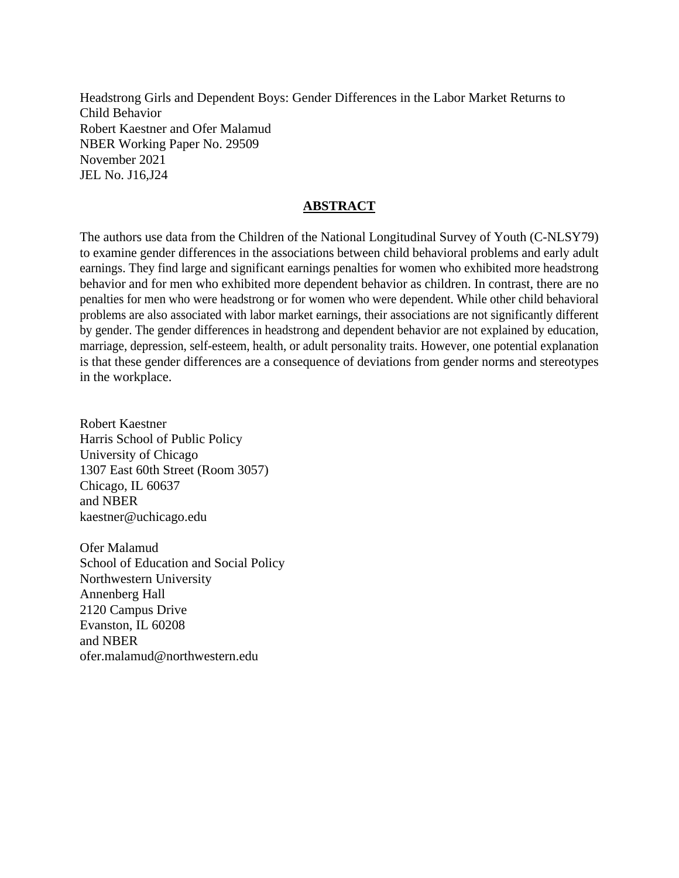Headstrong Girls and Dependent Boys: Gender Differences in the Labor Market Returns to Child Behavior Robert Kaestner and Ofer Malamud NBER Working Paper No. 29509 November 2021 JEL No. J16,J24

# **ABSTRACT**

The authors use data from the Children of the National Longitudinal Survey of Youth (C-NLSY79) to examine gender differences in the associations between child behavioral problems and early adult earnings. They find large and significant earnings penalties for women who exhibited more headstrong behavior and for men who exhibited more dependent behavior as children. In contrast, there are no penalties for men who were headstrong or for women who were dependent. While other child behavioral problems are also associated with labor market earnings, their associations are not significantly different by gender. The gender differences in headstrong and dependent behavior are not explained by education, marriage, depression, self-esteem, health, or adult personality traits. However, one potential explanation is that these gender differences are a consequence of deviations from gender norms and stereotypes in the workplace.

Robert Kaestner Harris School of Public Policy University of Chicago 1307 East 60th Street (Room 3057) Chicago, IL 60637 and NBER kaestner@uchicago.edu

Ofer Malamud School of Education and Social Policy Northwestern University Annenberg Hall 2120 Campus Drive Evanston, IL 60208 and NBER ofer.malamud@northwestern.edu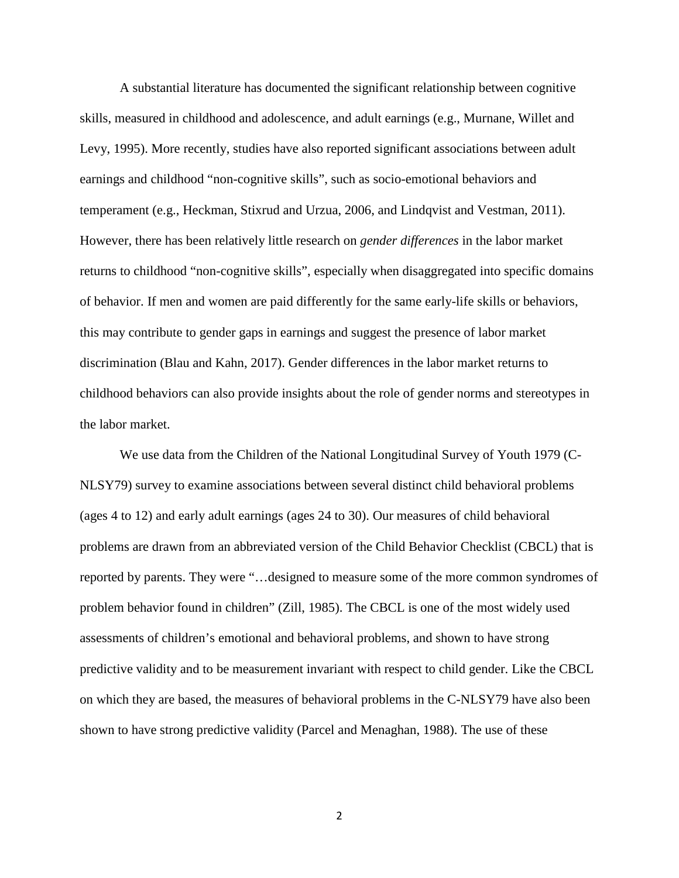A substantial literature has documented the significant relationship between cognitive skills, measured in childhood and adolescence, and adult earnings (e.g., Murnane, Willet and Levy, 1995). More recently, studies have also reported significant associations between adult earnings and childhood "non-cognitive skills", such as socio-emotional behaviors and temperament (e.g., Heckman, Stixrud and Urzua, 2006, and Lindqvist and Vestman, 2011). However, there has been relatively little research on *gender differences* in the labor market returns to childhood "non-cognitive skills", especially when disaggregated into specific domains of behavior. If men and women are paid differently for the same early-life skills or behaviors, this may contribute to gender gaps in earnings and suggest the presence of labor market discrimination (Blau and Kahn, 2017). Gender differences in the labor market returns to childhood behaviors can also provide insights about the role of gender norms and stereotypes in the labor market.

We use data from the Children of the National Longitudinal Survey of Youth 1979 (C-NLSY79) survey to examine associations between several distinct child behavioral problems (ages 4 to 12) and early adult earnings (ages 24 to 30). Our measures of child behavioral problems are drawn from an abbreviated version of the Child Behavior Checklist (CBCL) that is reported by parents. They were "…designed to measure some of the more common syndromes of problem behavior found in children" (Zill, 1985). The CBCL is one of the most widely used assessments of children's emotional and behavioral problems, and shown to have strong predictive validity and to be measurement invariant with respect to child gender. Like the CBCL on which they are based, the measures of behavioral problems in the C-NLSY79 have also been shown to have strong predictive validity (Parcel and Menaghan, 1988). The use of these

2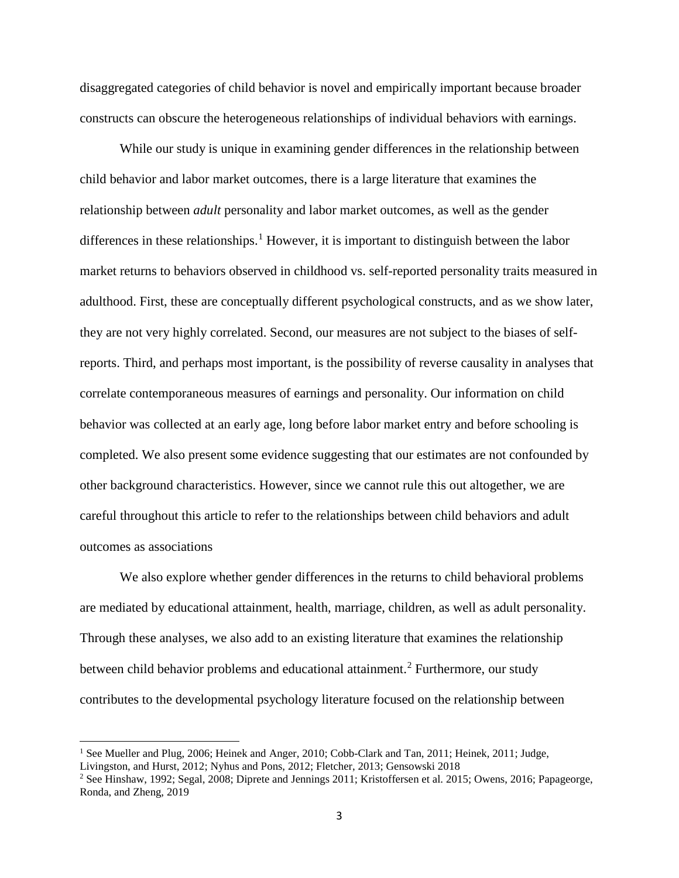disaggregated categories of child behavior is novel and empirically important because broader constructs can obscure the heterogeneous relationships of individual behaviors with earnings.

While our study is unique in examining gender differences in the relationship between child behavior and labor market outcomes, there is a large literature that examines the relationship between *adult* personality and labor market outcomes, as well as the gender differences in these relationships.<sup>[1](#page-3-0)</sup> However, it is important to distinguish between the labor market returns to behaviors observed in childhood vs. self-reported personality traits measured in adulthood. First, these are conceptually different psychological constructs, and as we show later, they are not very highly correlated. Second, our measures are not subject to the biases of selfreports. Third, and perhaps most important, is the possibility of reverse causality in analyses that correlate contemporaneous measures of earnings and personality. Our information on child behavior was collected at an early age, long before labor market entry and before schooling is completed. We also present some evidence suggesting that our estimates are not confounded by other background characteristics. However, since we cannot rule this out altogether, we are careful throughout this article to refer to the relationships between child behaviors and adult outcomes as associations

We also explore whether gender differences in the returns to child behavioral problems are mediated by educational attainment, health, marriage, children, as well as adult personality. Through these analyses, we also add to an existing literature that examines the relationship between child behavior problems and educational attainment.<sup>[2](#page-3-1)</sup> Furthermore, our study contributes to the developmental psychology literature focused on the relationship between

l

<span id="page-3-0"></span><sup>&</sup>lt;sup>1</sup> See Mueller and Plug, 2006; Heinek and Anger, 2010; Cobb-Clark and Tan, 2011; Heinek, 2011; Judge,

Livingston, and Hurst, 2012; Nyhus and Pons, 2012; Fletcher, 2013; Gensowski 2018

<span id="page-3-1"></span><sup>2</sup> See Hinshaw, 1992; Segal, 2008; Diprete and Jennings 2011; Kristoffersen et al. 2015; Owens, 2016; Papageorge, Ronda, and Zheng, 2019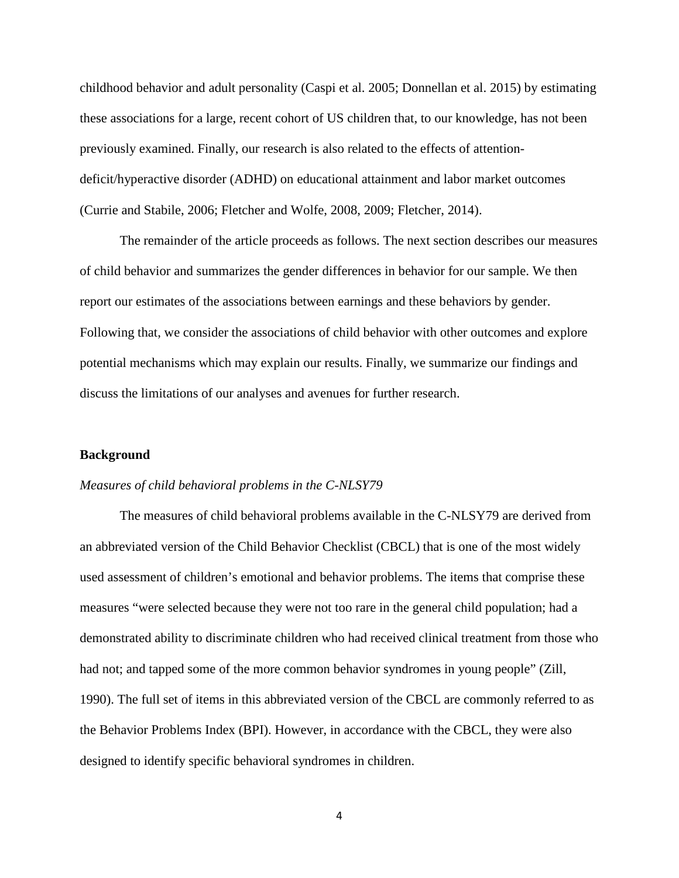childhood behavior and adult personality (Caspi et al. 2005; Donnellan et al. 2015) by estimating these associations for a large, recent cohort of US children that, to our knowledge, has not been previously examined. Finally, our research is also related to the effects of attentiondeficit/hyperactive disorder (ADHD) on educational attainment and labor market outcomes (Currie and Stabile, 2006; Fletcher and Wolfe, 2008, 2009; Fletcher, 2014).

The remainder of the article proceeds as follows. The next section describes our measures of child behavior and summarizes the gender differences in behavior for our sample. We then report our estimates of the associations between earnings and these behaviors by gender. Following that, we consider the associations of child behavior with other outcomes and explore potential mechanisms which may explain our results. Finally, we summarize our findings and discuss the limitations of our analyses and avenues for further research.

### **Background**

#### *Measures of child behavioral problems in the C-NLSY79*

The measures of child behavioral problems available in the C-NLSY79 are derived from an abbreviated version of the Child Behavior Checklist (CBCL) that is one of the most widely used assessment of children's emotional and behavior problems. The items that comprise these measures "were selected because they were not too rare in the general child population; had a demonstrated ability to discriminate children who had received clinical treatment from those who had not; and tapped some of the more common behavior syndromes in young people" (Zill, 1990). The full set of items in this abbreviated version of the CBCL are commonly referred to as the Behavior Problems Index (BPI). However, in accordance with the CBCL, they were also designed to identify specific behavioral syndromes in children.

4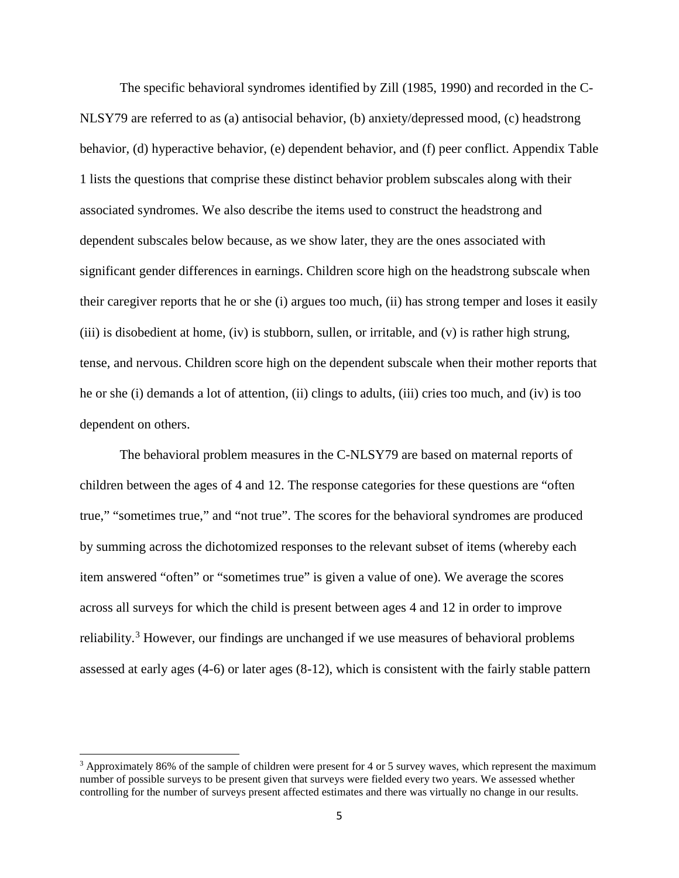The specific behavioral syndromes identified by Zill (1985, 1990) and recorded in the C-NLSY79 are referred to as (a) antisocial behavior, (b) anxiety/depressed mood, (c) headstrong behavior, (d) hyperactive behavior, (e) dependent behavior, and (f) peer conflict. Appendix Table 1 lists the questions that comprise these distinct behavior problem subscales along with their associated syndromes. We also describe the items used to construct the headstrong and dependent subscales below because, as we show later, they are the ones associated with significant gender differences in earnings. Children score high on the headstrong subscale when their caregiver reports that he or she (i) argues too much, (ii) has strong temper and loses it easily (iii) is disobedient at home, (iv) is stubborn, sullen, or irritable, and (v) is rather high strung, tense, and nervous. Children score high on the dependent subscale when their mother reports that he or she (i) demands a lot of attention, (ii) clings to adults, (iii) cries too much, and (iv) is too dependent on others.

The behavioral problem measures in the C-NLSY79 are based on maternal reports of children between the ages of 4 and 12. The response categories for these questions are "often true," "sometimes true," and "not true". The scores for the behavioral syndromes are produced by summing across the dichotomized responses to the relevant subset of items (whereby each item answered "often" or "sometimes true" is given a value of one). We average the scores across all surveys for which the child is present between ages 4 and 12 in order to improve reliability.<sup>[3](#page-5-0)</sup> However, our findings are unchanged if we use measures of behavioral problems assessed at early ages (4-6) or later ages (8-12), which is consistent with the fairly stable pattern

l

<span id="page-5-0"></span> $3$  Approximately 86% of the sample of children were present for 4 or 5 survey waves, which represent the maximum number of possible surveys to be present given that surveys were fielded every two years. We assessed whether controlling for the number of surveys present affected estimates and there was virtually no change in our results.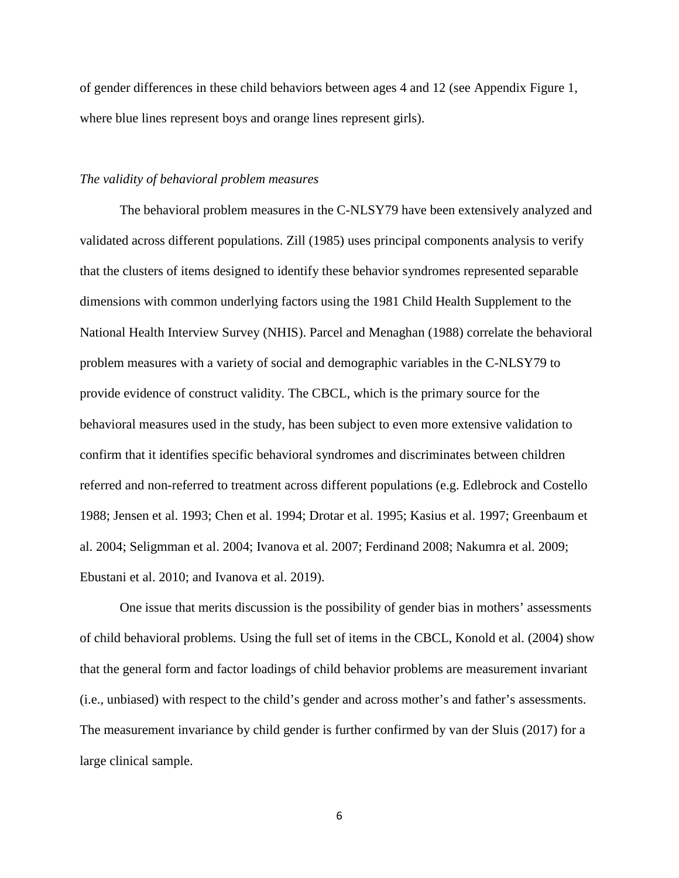of gender differences in these child behaviors between ages 4 and 12 (see Appendix Figure 1, where blue lines represent boys and orange lines represent girls).

#### *The validity of behavioral problem measures*

The behavioral problem measures in the C-NLSY79 have been extensively analyzed and validated across different populations. Zill (1985) uses principal components analysis to verify that the clusters of items designed to identify these behavior syndromes represented separable dimensions with common underlying factors using the 1981 Child Health Supplement to the National Health Interview Survey (NHIS). Parcel and Menaghan (1988) correlate the behavioral problem measures with a variety of social and demographic variables in the C-NLSY79 to provide evidence of construct validity. The CBCL, which is the primary source for the behavioral measures used in the study, has been subject to even more extensive validation to confirm that it identifies specific behavioral syndromes and discriminates between children referred and non-referred to treatment across different populations (e.g. Edlebrock and Costello 1988; Jensen et al. 1993; Chen et al. 1994; Drotar et al. 1995; Kasius et al. 1997; Greenbaum et al. 2004; Seligmman et al. 2004; Ivanova et al. 2007; Ferdinand 2008; Nakumra et al. 2009; Ebustani et al. 2010; and Ivanova et al. 2019).

One issue that merits discussion is the possibility of gender bias in mothers' assessments of child behavioral problems. Using the full set of items in the CBCL, Konold et al. (2004) show that the general form and factor loadings of child behavior problems are measurement invariant (i.e., unbiased) with respect to the child's gender and across mother's and father's assessments. The measurement invariance by child gender is further confirmed by van der Sluis (2017) for a large clinical sample.

6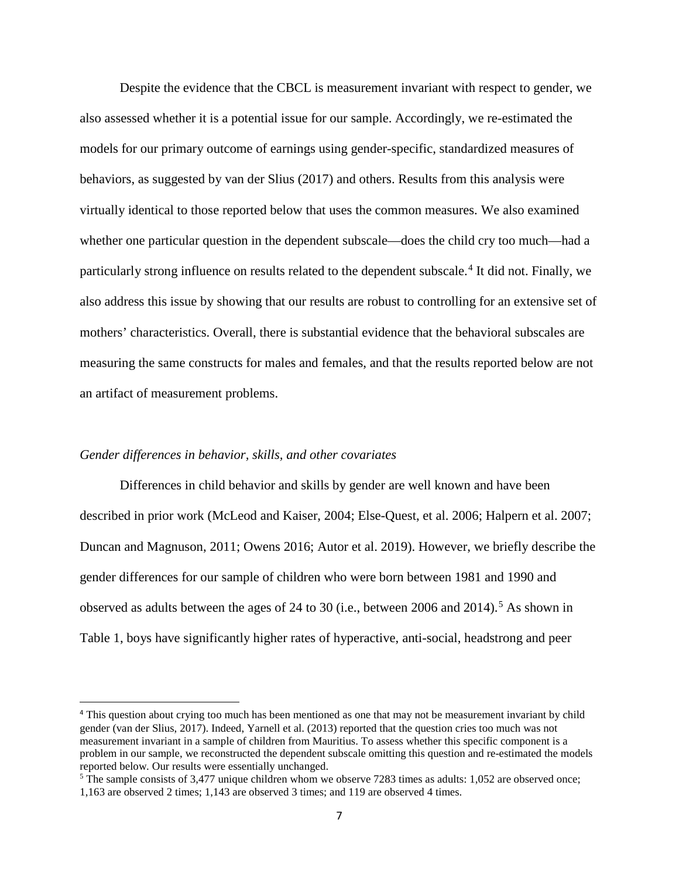Despite the evidence that the CBCL is measurement invariant with respect to gender, we also assessed whether it is a potential issue for our sample. Accordingly, we re-estimated the models for our primary outcome of earnings using gender-specific, standardized measures of behaviors, as suggested by van der Slius (2017) and others. Results from this analysis were virtually identical to those reported below that uses the common measures. We also examined whether one particular question in the dependent subscale—does the child cry too much—had a particularly strong influence on results related to the dependent subscale.<sup>[4](#page-7-0)</sup> It did not. Finally, we also address this issue by showing that our results are robust to controlling for an extensive set of mothers' characteristics. Overall, there is substantial evidence that the behavioral subscales are measuring the same constructs for males and females, and that the results reported below are not an artifact of measurement problems.

#### *Gender differences in behavior, skills, and other covariates*

l

Differences in child behavior and skills by gender are well known and have been described in prior work (McLeod and Kaiser, 2004; Else-Quest, et al. 2006; Halpern et al. 2007; Duncan and Magnuson, 2011; Owens 2016; Autor et al. 2019). However, we briefly describe the gender differences for our sample of children who were born between 1981 and 1990 and observed as adults between the ages of 24 to 30 (i.e., between 2006 and 2014).<sup>[5](#page-7-1)</sup> As shown in Table 1, boys have significantly higher rates of hyperactive, anti-social, headstrong and peer

<span id="page-7-0"></span><sup>4</sup> This question about crying too much has been mentioned as one that may not be measurement invariant by child gender (van der Slius, 2017). Indeed, Yarnell et al. (2013) reported that the question cries too much was not measurement invariant in a sample of children from Mauritius. To assess whether this specific component is a problem in our sample, we reconstructed the dependent subscale omitting this question and re-estimated the models reported below. Our results were essentially unchanged.

<span id="page-7-1"></span><sup>5</sup> The sample consists of 3,477 unique children whom we observe 7283 times as adults: 1,052 are observed once; 1,163 are observed 2 times; 1,143 are observed 3 times; and 119 are observed 4 times.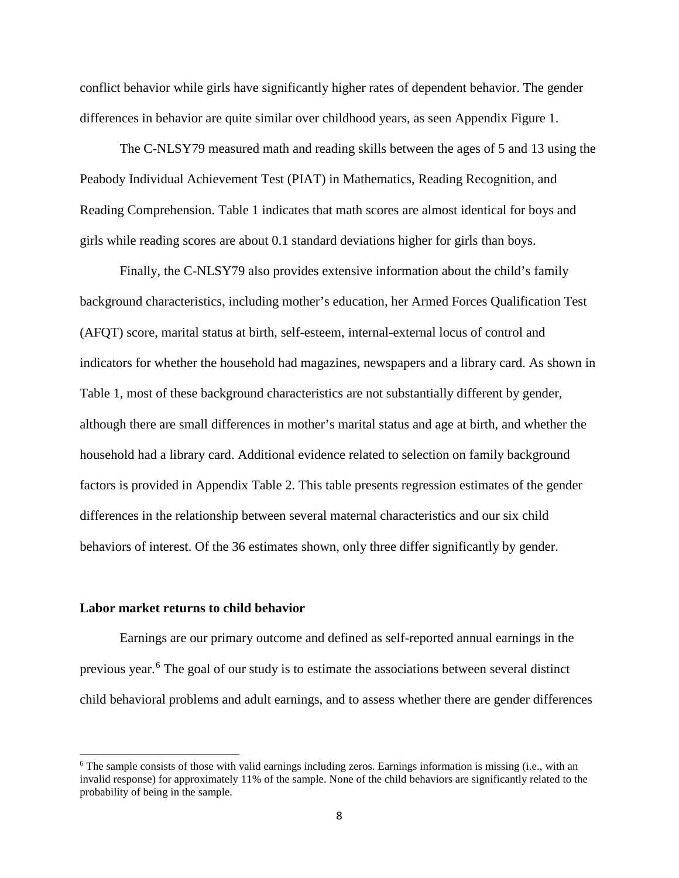conflict behavior while girls have significantly higher rates of dependent behavior. The gender differences in behavior are quite similar over childhood years, as seen Appendix Figure 1.

The C-NLSY79 measured math and reading skills between the ages of 5 and 13 using the Peabody Individual Achievement Test (PIAT) in Mathematics, Reading Recognition, and Reading Comprehension. Table 1 indicates that math scores are almost identical for boys and girls while reading scores are about 0.1 standard deviations higher for girls than boys.

Finally, the C-NLSY79 also provides extensive information about the child's family background characteristics, including mother's education, her Armed Forces Qualification Test (AFQT) score, marital status at birth, self-esteem, internal-external locus of control and indicators for whether the household had magazines, newspapers and a library card. As shown in Table 1, most of these background characteristics are not substantially different by gender, although there are small differences in mother's marital status and age at birth, and whether the household had a library card. Additional evidence related to selection on family background factors is provided in Appendix Table 2. This table presents regression estimates of the gender differences in the relationship between several maternal characteristics and our six child behaviors of interest. Of the 36 estimates shown, only three differ significantly by gender.

### **Labor market returns to child behavior**

l

Earnings are our primary outcome and defined as self-reported annual earnings in the previous year.<sup>[6](#page-8-0)</sup> The goal of our study is to estimate the associations between several distinct child behavioral problems and adult earnings, and to assess whether there are gender differences

<span id="page-8-0"></span> $6$  The sample consists of those with valid earnings including zeros. Earnings information is missing (i.e., with an invalid response) for approximately 11% of the sample. None of the child behaviors are significantly related to the probability of being in the sample.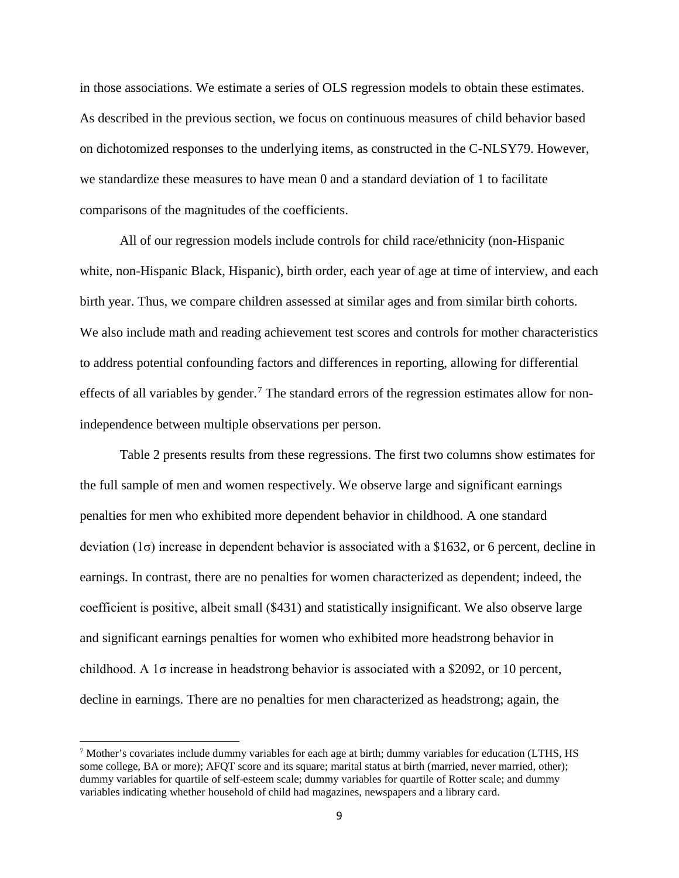in those associations. We estimate a series of OLS regression models to obtain these estimates. As described in the previous section, we focus on continuous measures of child behavior based on dichotomized responses to the underlying items, as constructed in the C-NLSY79. However, we standardize these measures to have mean 0 and a standard deviation of 1 to facilitate comparisons of the magnitudes of the coefficients.

All of our regression models include controls for child race/ethnicity (non-Hispanic white, non-Hispanic Black, Hispanic), birth order, each year of age at time of interview, and each birth year. Thus, we compare children assessed at similar ages and from similar birth cohorts. We also include math and reading achievement test scores and controls for mother characteristics to address potential confounding factors and differences in reporting, allowing for differential effects of all variables by gender.<sup>[7](#page-9-0)</sup> The standard errors of the regression estimates allow for nonindependence between multiple observations per person.

Table 2 presents results from these regressions. The first two columns show estimates for the full sample of men and women respectively. We observe large and significant earnings penalties for men who exhibited more dependent behavior in childhood. A one standard deviation (1σ) increase in dependent behavior is associated with a \$1632, or 6 percent, decline in earnings. In contrast, there are no penalties for women characterized as dependent; indeed, the coefficient is positive, albeit small (\$431) and statistically insignificant. We also observe large and significant earnings penalties for women who exhibited more headstrong behavior in childhood. A 1σ increase in headstrong behavior is associated with a \$2092, or 10 percent, decline in earnings. There are no penalties for men characterized as headstrong; again, the

l

<span id="page-9-0"></span><sup>7</sup> Mother's covariates include dummy variables for each age at birth; dummy variables for education (LTHS, HS some college, BA or more); AFQT score and its square; marital status at birth (married, never married, other); dummy variables for quartile of self-esteem scale; dummy variables for quartile of Rotter scale; and dummy variables indicating whether household of child had magazines, newspapers and a library card.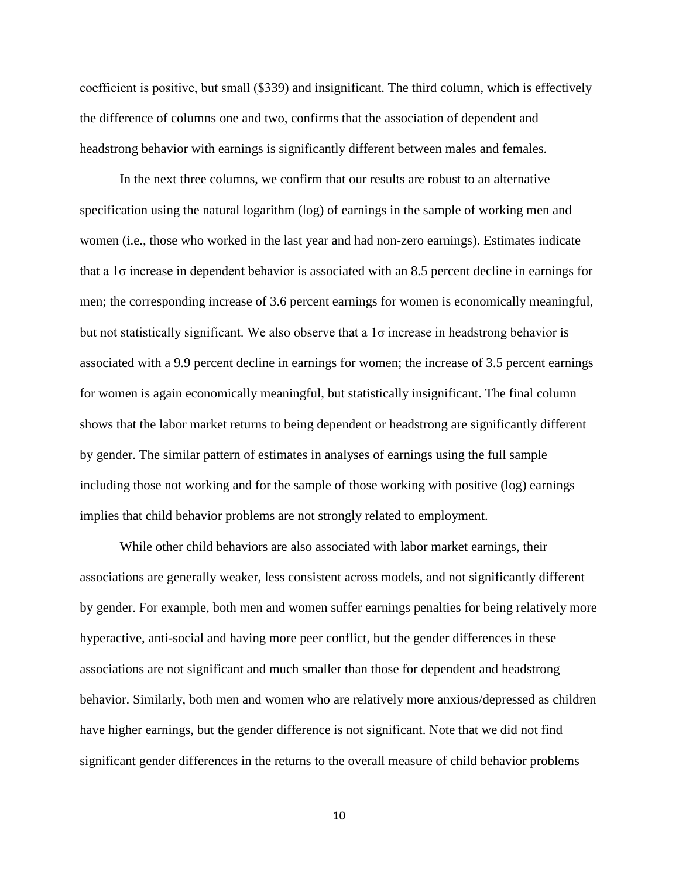coefficient is positive, but small (\$339) and insignificant. The third column, which is effectively the difference of columns one and two, confirms that the association of dependent and headstrong behavior with earnings is significantly different between males and females.

In the next three columns, we confirm that our results are robust to an alternative specification using the natural logarithm (log) of earnings in the sample of working men and women (i.e., those who worked in the last year and had non-zero earnings). Estimates indicate that a 1σ increase in dependent behavior is associated with an 8.5 percent decline in earnings for men; the corresponding increase of 3.6 percent earnings for women is economically meaningful, but not statistically significant. We also observe that a 1σ increase in headstrong behavior is associated with a 9.9 percent decline in earnings for women; the increase of 3.5 percent earnings for women is again economically meaningful, but statistically insignificant. The final column shows that the labor market returns to being dependent or headstrong are significantly different by gender. The similar pattern of estimates in analyses of earnings using the full sample including those not working and for the sample of those working with positive (log) earnings implies that child behavior problems are not strongly related to employment.

While other child behaviors are also associated with labor market earnings, their associations are generally weaker, less consistent across models, and not significantly different by gender. For example, both men and women suffer earnings penalties for being relatively more hyperactive, anti-social and having more peer conflict, but the gender differences in these associations are not significant and much smaller than those for dependent and headstrong behavior. Similarly, both men and women who are relatively more anxious/depressed as children have higher earnings, but the gender difference is not significant. Note that we did not find significant gender differences in the returns to the overall measure of child behavior problems

10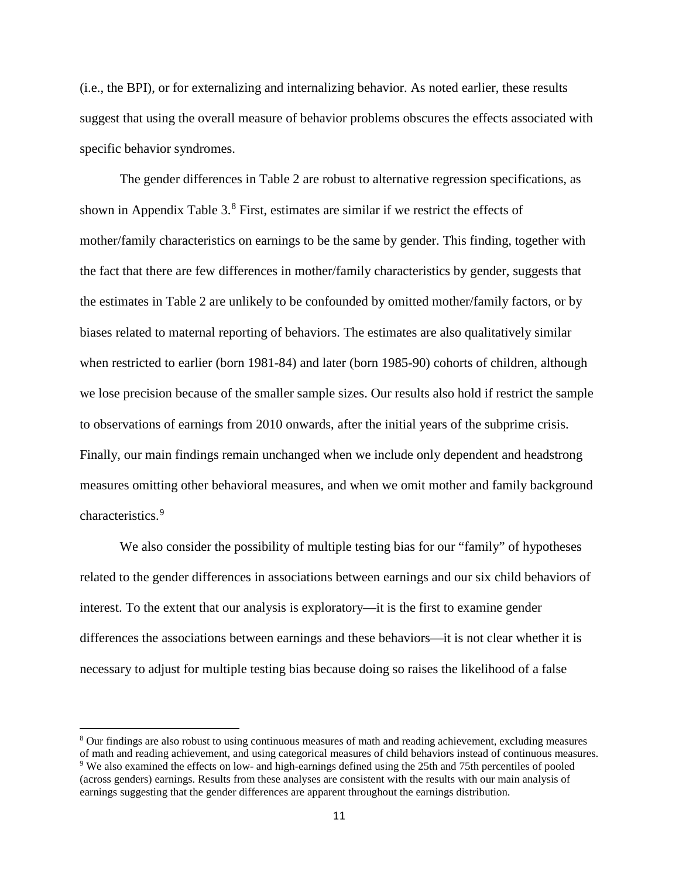(i.e., the BPI), or for externalizing and internalizing behavior. As noted earlier, these results suggest that using the overall measure of behavior problems obscures the effects associated with specific behavior syndromes.

The gender differences in Table 2 are robust to alternative regression specifications, as shown in Appendix Table  $3<sup>8</sup>$  $3<sup>8</sup>$  $3<sup>8</sup>$  First, estimates are similar if we restrict the effects of mother/family characteristics on earnings to be the same by gender. This finding, together with the fact that there are few differences in mother/family characteristics by gender, suggests that the estimates in Table 2 are unlikely to be confounded by omitted mother/family factors, or by biases related to maternal reporting of behaviors. The estimates are also qualitatively similar when restricted to earlier (born 1981-84) and later (born 1985-90) cohorts of children, although we lose precision because of the smaller sample sizes. Our results also hold if restrict the sample to observations of earnings from 2010 onwards, after the initial years of the subprime crisis. Finally, our main findings remain unchanged when we include only dependent and headstrong measures omitting other behavioral measures, and when we omit mother and family background characteristics.<sup>[9](#page-11-1)</sup>

We also consider the possibility of multiple testing bias for our "family" of hypotheses related to the gender differences in associations between earnings and our six child behaviors of interest. To the extent that our analysis is exploratory—it is the first to examine gender differences the associations between earnings and these behaviors—it is not clear whether it is necessary to adjust for multiple testing bias because doing so raises the likelihood of a false

 $\overline{\phantom{a}}$ 

<span id="page-11-1"></span><span id="page-11-0"></span><sup>8</sup> Our findings are also robust to using continuous measures of math and reading achievement, excluding measures of math and reading achievement, and using categorical measures of child behaviors instead of continuous measures.<br><sup>9</sup> We also examined the effects on low- and high-earnings defined using the 25th and 75th percentiles of p (across genders) earnings. Results from these analyses are consistent with the results with our main analysis of earnings suggesting that the gender differences are apparent throughout the earnings distribution.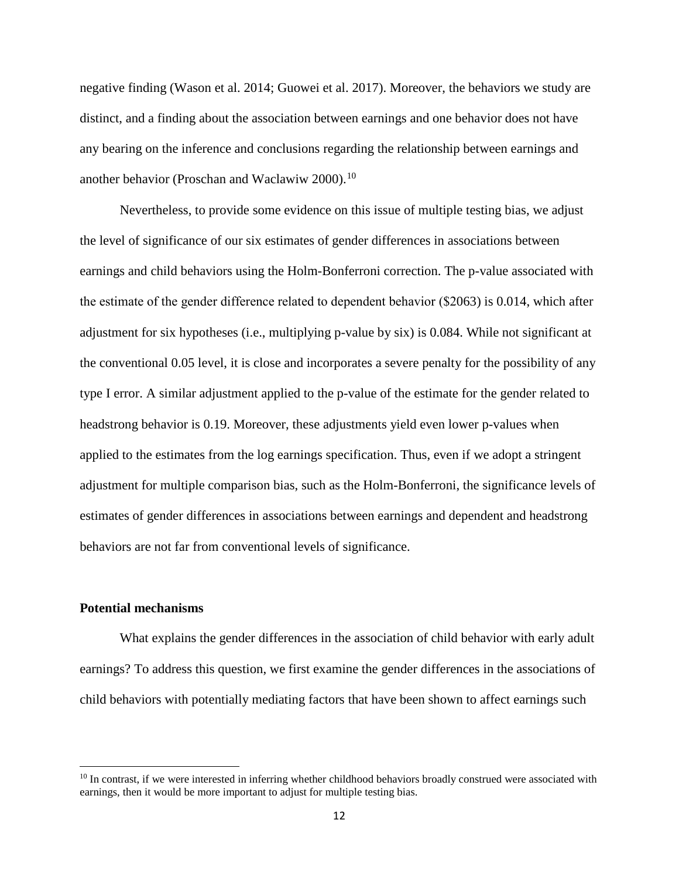negative finding (Wason et al. 2014; Guowei et al. 2017). Moreover, the behaviors we study are distinct, and a finding about the association between earnings and one behavior does not have any bearing on the inference and conclusions regarding the relationship between earnings and another behavior (Proschan and Waclawiw 2000).<sup>[10](#page-12-0)</sup>

Nevertheless, to provide some evidence on this issue of multiple testing bias, we adjust the level of significance of our six estimates of gender differences in associations between earnings and child behaviors using the Holm-Bonferroni correction. The p-value associated with the estimate of the gender difference related to dependent behavior (\$2063) is 0.014, which after adjustment for six hypotheses (i.e., multiplying p-value by six) is 0.084. While not significant at the conventional 0.05 level, it is close and incorporates a severe penalty for the possibility of any type I error. A similar adjustment applied to the p-value of the estimate for the gender related to headstrong behavior is 0.19. Moreover, these adjustments yield even lower p-values when applied to the estimates from the log earnings specification. Thus, even if we adopt a stringent adjustment for multiple comparison bias, such as the Holm-Bonferroni, the significance levels of estimates of gender differences in associations between earnings and dependent and headstrong behaviors are not far from conventional levels of significance.

### **Potential mechanisms**

l

What explains the gender differences in the association of child behavior with early adult earnings? To address this question, we first examine the gender differences in the associations of child behaviors with potentially mediating factors that have been shown to affect earnings such

<span id="page-12-0"></span> $10$  In contrast, if we were interested in inferring whether childhood behaviors broadly construed were associated with earnings, then it would be more important to adjust for multiple testing bias.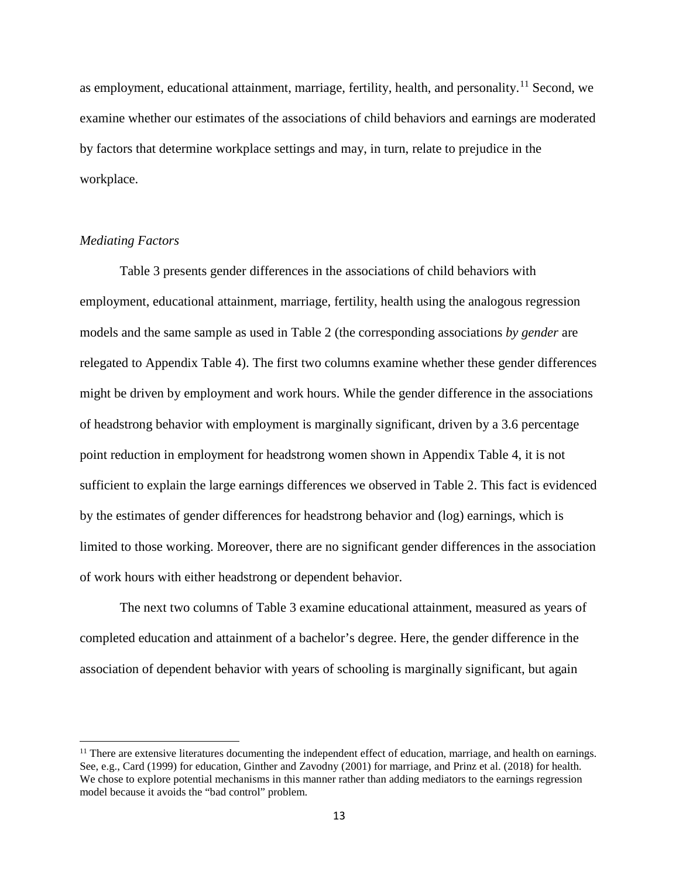as employment, educational attainment, marriage, fertility, health, and personality.<sup>[11](#page-13-0)</sup> Second, we examine whether our estimates of the associations of child behaviors and earnings are moderated by factors that determine workplace settings and may, in turn, relate to prejudice in the workplace.

## *Mediating Factors*

l

Table 3 presents gender differences in the associations of child behaviors with employment, educational attainment, marriage, fertility, health using the analogous regression models and the same sample as used in Table 2 (the corresponding associations *by gender* are relegated to Appendix Table 4). The first two columns examine whether these gender differences might be driven by employment and work hours. While the gender difference in the associations of headstrong behavior with employment is marginally significant, driven by a 3.6 percentage point reduction in employment for headstrong women shown in Appendix Table 4, it is not sufficient to explain the large earnings differences we observed in Table 2. This fact is evidenced by the estimates of gender differences for headstrong behavior and (log) earnings, which is limited to those working. Moreover, there are no significant gender differences in the association of work hours with either headstrong or dependent behavior.

The next two columns of Table 3 examine educational attainment, measured as years of completed education and attainment of a bachelor's degree. Here, the gender difference in the association of dependent behavior with years of schooling is marginally significant, but again

<span id="page-13-0"></span> $<sup>11</sup>$  There are extensive literatures documenting the independent effect of education, marriage, and health on earnings.</sup> See, e.g., Card (1999) for education, Ginther and Zavodny (2001) for marriage, and Prinz et al. (2018) for health. We chose to explore potential mechanisms in this manner rather than adding mediators to the earnings regression model because it avoids the "bad control" problem.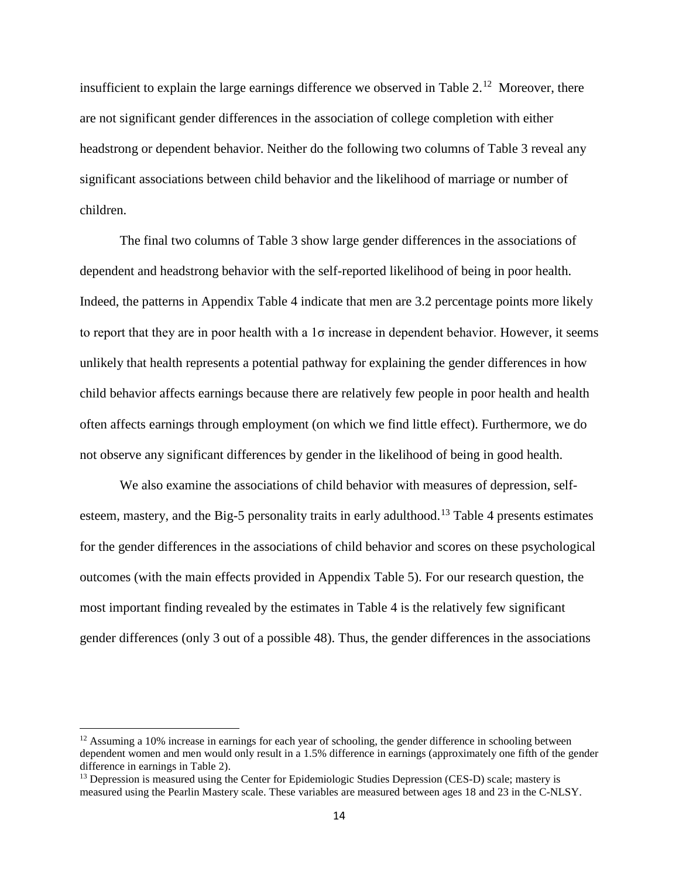insufficient to explain the large earnings difference we observed in Table  $2<sup>12</sup>$  Moreover, there are not significant gender differences in the association of college completion with either headstrong or dependent behavior. Neither do the following two columns of Table 3 reveal any significant associations between child behavior and the likelihood of marriage or number of children.

The final two columns of Table 3 show large gender differences in the associations of dependent and headstrong behavior with the self-reported likelihood of being in poor health. Indeed, the patterns in Appendix Table 4 indicate that men are 3.2 percentage points more likely to report that they are in poor health with a 1σ increase in dependent behavior. However, it seems unlikely that health represents a potential pathway for explaining the gender differences in how child behavior affects earnings because there are relatively few people in poor health and health often affects earnings through employment (on which we find little effect). Furthermore, we do not observe any significant differences by gender in the likelihood of being in good health.

We also examine the associations of child behavior with measures of depression, self-esteem, mastery, and the Big-5 personality traits in early adulthood.<sup>[13](#page-14-1)</sup> Table 4 presents estimates for the gender differences in the associations of child behavior and scores on these psychological outcomes (with the main effects provided in Appendix Table 5). For our research question, the most important finding revealed by the estimates in Table 4 is the relatively few significant gender differences (only 3 out of a possible 48). Thus, the gender differences in the associations

 $\overline{\phantom{a}}$ 

<span id="page-14-0"></span> $12$  Assuming a 10% increase in earnings for each year of schooling, the gender difference in schooling between dependent women and men would only result in a 1.5% difference in earnings (approximately one fifth of the gender difference in earnings in Table 2).<br><sup>13</sup> Depression is measured using the Center for Epidemiologic Studies Depression (CES-D) scale; mastery is

<span id="page-14-1"></span>measured using the Pearlin Mastery scale. These variables are measured between ages 18 and 23 in the C-NLSY.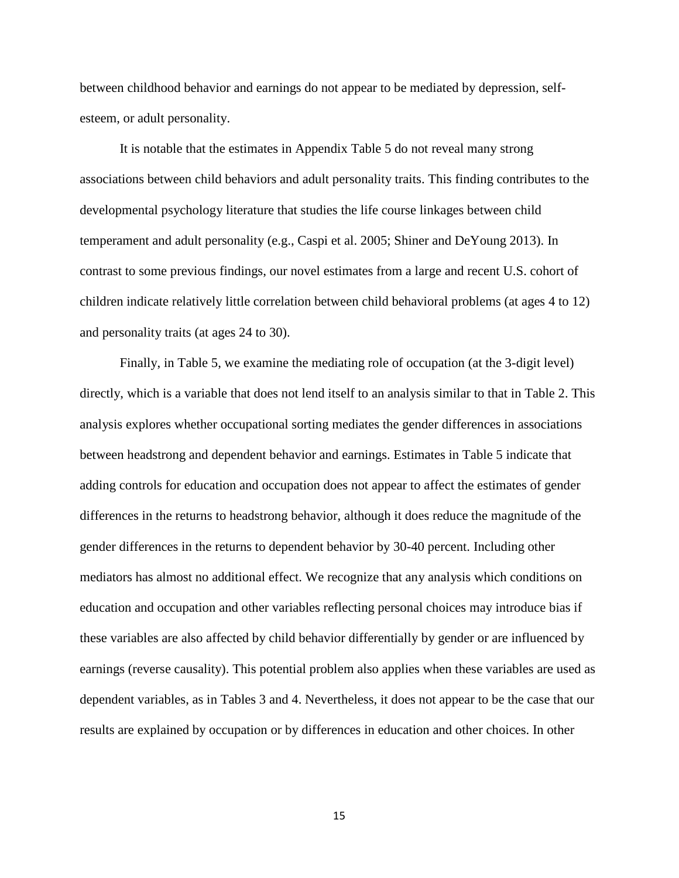between childhood behavior and earnings do not appear to be mediated by depression, selfesteem, or adult personality.

It is notable that the estimates in Appendix Table 5 do not reveal many strong associations between child behaviors and adult personality traits. This finding contributes to the developmental psychology literature that studies the life course linkages between child temperament and adult personality (e.g., Caspi et al. 2005; Shiner and DeYoung 2013). In contrast to some previous findings, our novel estimates from a large and recent U.S. cohort of children indicate relatively little correlation between child behavioral problems (at ages 4 to 12) and personality traits (at ages 24 to 30).

Finally, in Table 5, we examine the mediating role of occupation (at the 3-digit level) directly, which is a variable that does not lend itself to an analysis similar to that in Table 2. This analysis explores whether occupational sorting mediates the gender differences in associations between headstrong and dependent behavior and earnings. Estimates in Table 5 indicate that adding controls for education and occupation does not appear to affect the estimates of gender differences in the returns to headstrong behavior, although it does reduce the magnitude of the gender differences in the returns to dependent behavior by 30-40 percent. Including other mediators has almost no additional effect. We recognize that any analysis which conditions on education and occupation and other variables reflecting personal choices may introduce bias if these variables are also affected by child behavior differentially by gender or are influenced by earnings (reverse causality). This potential problem also applies when these variables are used as dependent variables, as in Tables 3 and 4. Nevertheless, it does not appear to be the case that our results are explained by occupation or by differences in education and other choices. In other

15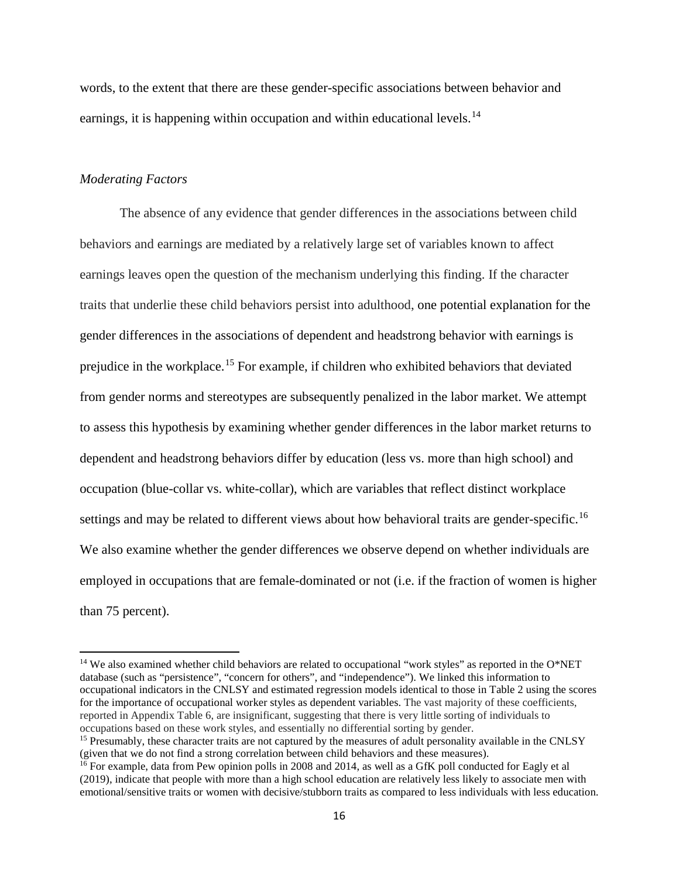words, to the extent that there are these gender-specific associations between behavior and earnings, it is happening within occupation and within educational levels.<sup>[14](#page-16-0)</sup>

## *Moderating Factors*

 $\overline{\phantom{a}}$ 

The absence of any evidence that gender differences in the associations between child behaviors and earnings are mediated by a relatively large set of variables known to affect earnings leaves open the question of the mechanism underlying this finding. If the character traits that underlie these child behaviors persist into adulthood, one potential explanation for the gender differences in the associations of dependent and headstrong behavior with earnings is prejudice in the workplace.[15](#page-16-1) For example, if children who exhibited behaviors that deviated from gender norms and stereotypes are subsequently penalized in the labor market. We attempt to assess this hypothesis by examining whether gender differences in the labor market returns to dependent and headstrong behaviors differ by education (less vs. more than high school) and occupation (blue-collar vs. white-collar), which are variables that reflect distinct workplace settings and may be related to different views about how behavioral traits are gender-specific.<sup>[16](#page-16-2)</sup> We also examine whether the gender differences we observe depend on whether individuals are employed in occupations that are female-dominated or not (i.e. if the fraction of women is higher than 75 percent).

<span id="page-16-0"></span><sup>&</sup>lt;sup>14</sup> We also examined whether child behaviors are related to occupational "work styles" as reported in the O\*NET database (such as "persistence", "concern for others", and "independence"). We linked this information to occupational indicators in the CNLSY and estimated regression models identical to those in Table 2 using the scores for the importance of occupational worker styles as dependent variables. The vast majority of these coefficients, reported in Appendix Table 6, are insignificant, suggesting that there is very little sorting of individuals to occupations based on these work styles, and essentially no differential sorting by gender.

<span id="page-16-1"></span><sup>&</sup>lt;sup>15</sup> Presumably, these character traits are not captured by the measures of adult personality available in the CNLSY (given that we do not find a strong correlation between child behaviors and these measures).

<span id="page-16-2"></span><sup>&</sup>lt;sup>16</sup> For example, data from Pew opinion polls in 2008 and 2014, as well as a GfK poll conducted for Eagly et al (2019), indicate that people with more than a high school education are relatively less likely to associate men with emotional/sensitive traits or women with decisive/stubborn traits as compared to less individuals with less education.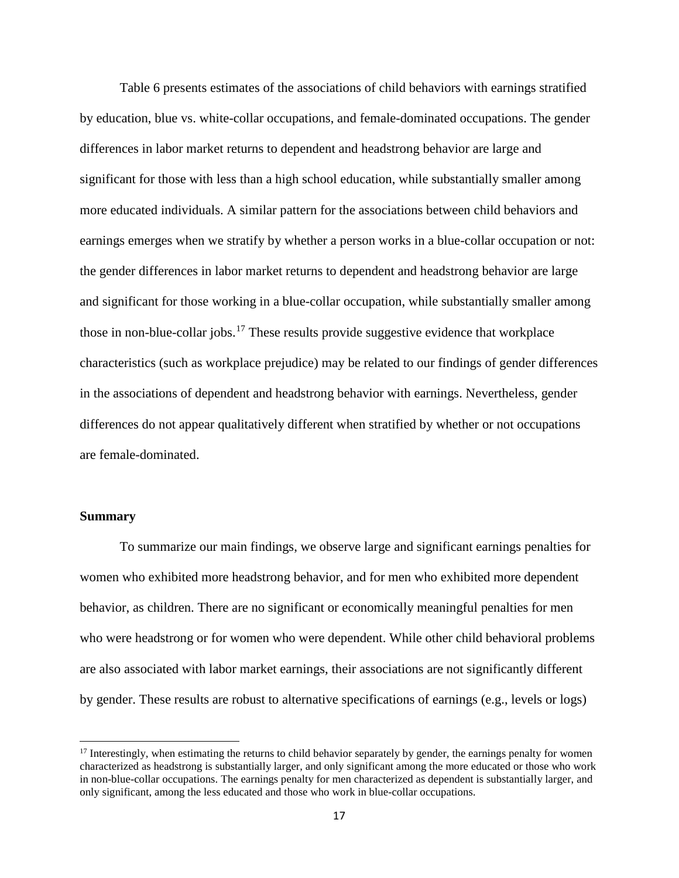Table 6 presents estimates of the associations of child behaviors with earnings stratified by education, blue vs. white-collar occupations, and female-dominated occupations. The gender differences in labor market returns to dependent and headstrong behavior are large and significant for those with less than a high school education, while substantially smaller among more educated individuals. A similar pattern for the associations between child behaviors and earnings emerges when we stratify by whether a person works in a blue-collar occupation or not: the gender differences in labor market returns to dependent and headstrong behavior are large and significant for those working in a blue-collar occupation, while substantially smaller among those in non-blue-collar jobs.<sup>[17](#page-17-0)</sup> These results provide suggestive evidence that workplace characteristics (such as workplace prejudice) may be related to our findings of gender differences in the associations of dependent and headstrong behavior with earnings. Nevertheless, gender differences do not appear qualitatively different when stratified by whether or not occupations are female-dominated.

## **Summary**

l

To summarize our main findings, we observe large and significant earnings penalties for women who exhibited more headstrong behavior, and for men who exhibited more dependent behavior, as children. There are no significant or economically meaningful penalties for men who were headstrong or for women who were dependent. While other child behavioral problems are also associated with labor market earnings, their associations are not significantly different by gender. These results are robust to alternative specifications of earnings (e.g., levels or logs)

<span id="page-17-0"></span> $17$  Interestingly, when estimating the returns to child behavior separately by gender, the earnings penalty for women characterized as headstrong is substantially larger, and only significant among the more educated or those who work in non-blue-collar occupations. The earnings penalty for men characterized as dependent is substantially larger, and only significant, among the less educated and those who work in blue-collar occupations.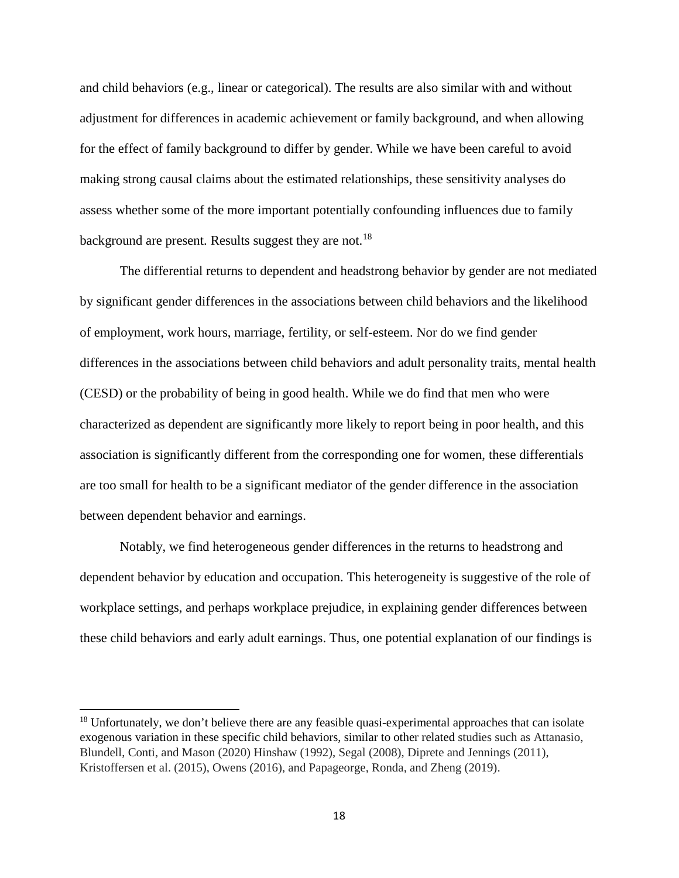and child behaviors (e.g., linear or categorical). The results are also similar with and without adjustment for differences in academic achievement or family background, and when allowing for the effect of family background to differ by gender. While we have been careful to avoid making strong causal claims about the estimated relationships, these sensitivity analyses do assess whether some of the more important potentially confounding influences due to family background are present. Results suggest they are not.<sup>[18](#page-18-0)</sup>

The differential returns to dependent and headstrong behavior by gender are not mediated by significant gender differences in the associations between child behaviors and the likelihood of employment, work hours, marriage, fertility, or self-esteem. Nor do we find gender differences in the associations between child behaviors and adult personality traits, mental health (CESD) or the probability of being in good health. While we do find that men who were characterized as dependent are significantly more likely to report being in poor health, and this association is significantly different from the corresponding one for women, these differentials are too small for health to be a significant mediator of the gender difference in the association between dependent behavior and earnings.

Notably, we find heterogeneous gender differences in the returns to headstrong and dependent behavior by education and occupation. This heterogeneity is suggestive of the role of workplace settings, and perhaps workplace prejudice, in explaining gender differences between these child behaviors and early adult earnings. Thus, one potential explanation of our findings is

 $\overline{\phantom{a}}$ 

<span id="page-18-0"></span><sup>&</sup>lt;sup>18</sup> Unfortunately, we don't believe there are any feasible quasi-experimental approaches that can isolate exogenous variation in these specific child behaviors, similar to other related studies such as Attanasio, Blundell, Conti, and Mason (2020) Hinshaw (1992), Segal (2008), Diprete and Jennings (2011), Kristoffersen et al. (2015), Owens (2016), and Papageorge, Ronda, and Zheng (2019).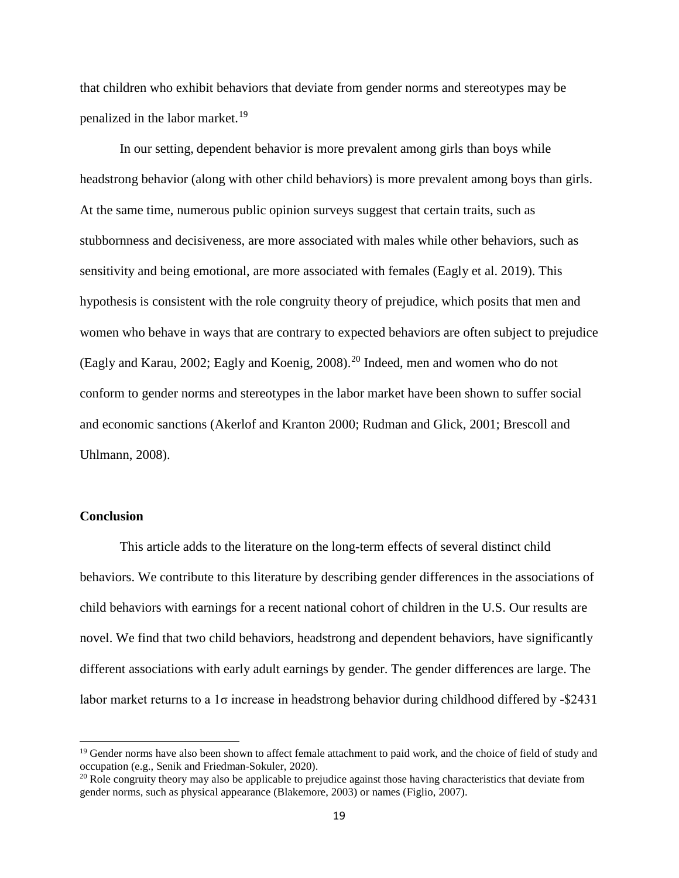that children who exhibit behaviors that deviate from gender norms and stereotypes may be penalized in the labor market.<sup>19</sup>

In our setting, dependent behavior is more prevalent among girls than boys while headstrong behavior (along with other child behaviors) is more prevalent among boys than girls. At the same time, numerous public opinion surveys suggest that certain traits, such as stubbornness and decisiveness, are more associated with males while other behaviors, such as sensitivity and being emotional, are more associated with females (Eagly et al. 2019). This hypothesis is consistent with the role congruity theory of prejudice, which posits that men and women who behave in ways that are contrary to expected behaviors are often subject to prejudice (Eagly and Karau, 2002; Eagly and Koenig, 2008).[20](#page-19-1) Indeed, men and women who do not conform to gender norms and stereotypes in the labor market have been shown to suffer social and economic sanctions (Akerlof and Kranton 2000; Rudman and Glick, 2001; Brescoll and Uhlmann, 2008).

## **Conclusion**

l

This article adds to the literature on the long-term effects of several distinct child behaviors. We contribute to this literature by describing gender differences in the associations of child behaviors with earnings for a recent national cohort of children in the U.S. Our results are novel. We find that two child behaviors, headstrong and dependent behaviors, have significantly different associations with early adult earnings by gender. The gender differences are large. The labor market returns to a  $1\sigma$  increase in headstrong behavior during childhood differed by -\$2431

<span id="page-19-0"></span><sup>&</sup>lt;sup>19</sup> Gender norms have also been shown to affect female attachment to paid work, and the choice of field of study and occupation (e.g., Senik and Friedman-Sokuler, 2020).

<span id="page-19-1"></span> $^{20}$  Role congruity theory may also be applicable to prejudice against those having characteristics that deviate from gender norms, such as physical appearance (Blakemore, 2003) or names (Figlio, 2007).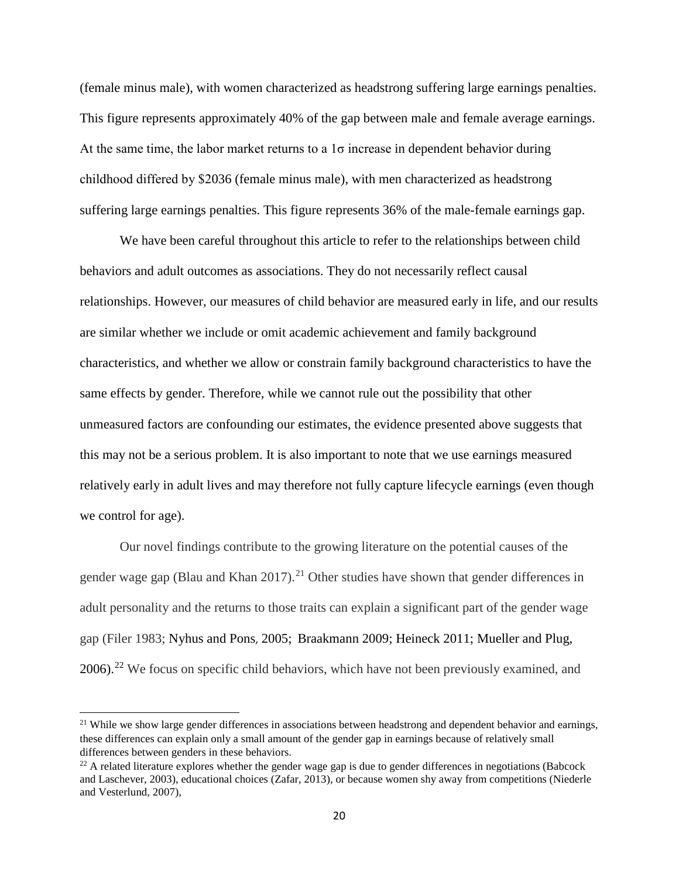(female minus male), with women characterized as headstrong suffering large earnings penalties. This figure represents approximately 40% of the gap between male and female average earnings. At the same time, the labor market returns to a  $1\sigma$  increase in dependent behavior during childhood differed by \$2036 (female minus male), with men characterized as headstrong suffering large earnings penalties. This figure represents 36% of the male-female earnings gap.

We have been careful throughout this article to refer to the relationships between child behaviors and adult outcomes as associations. They do not necessarily reflect causal relationships. However, our measures of child behavior are measured early in life, and our results are similar whether we include or omit academic achievement and family background characteristics, and whether we allow or constrain family background characteristics to have the same effects by gender. Therefore, while we cannot rule out the possibility that other unmeasured factors are confounding our estimates, the evidence presented above suggests that this may not be a serious problem. It is also important to note that we use earnings measured relatively early in adult lives and may therefore not fully capture lifecycle earnings (even though we control for age).

Our novel findings contribute to the growing literature on the potential causes of the gender wage gap (Blau and Khan  $2017$ ).<sup>[21](#page-20-0)</sup> Other studies have shown that gender differences in adult personality and the returns to those traits can explain a significant part of the gender wage gap (Filer 1983; Nyhus and Pons, 2005; Braakmann 2009; Heineck 2011; Mueller and Plug,  $2006$ .<sup>22</sup> We focus on specific child behaviors, which have not been previously examined, and

 $\overline{\phantom{a}}$ 

<span id="page-20-0"></span><sup>&</sup>lt;sup>21</sup> While we show large gender differences in associations between headstrong and dependent behavior and earnings, these differences can explain only a small amount of the gender gap in earnings because of relatively small differences between genders in these behaviors.

<span id="page-20-1"></span> $^{22}$  A related literature explores whether the gender wage gap is due to gender differences in negotiations (Babcock and Laschever, 2003), educational choices (Zafar, 2013), or because women shy away from competitions (Niederle and Vesterlund, 2007),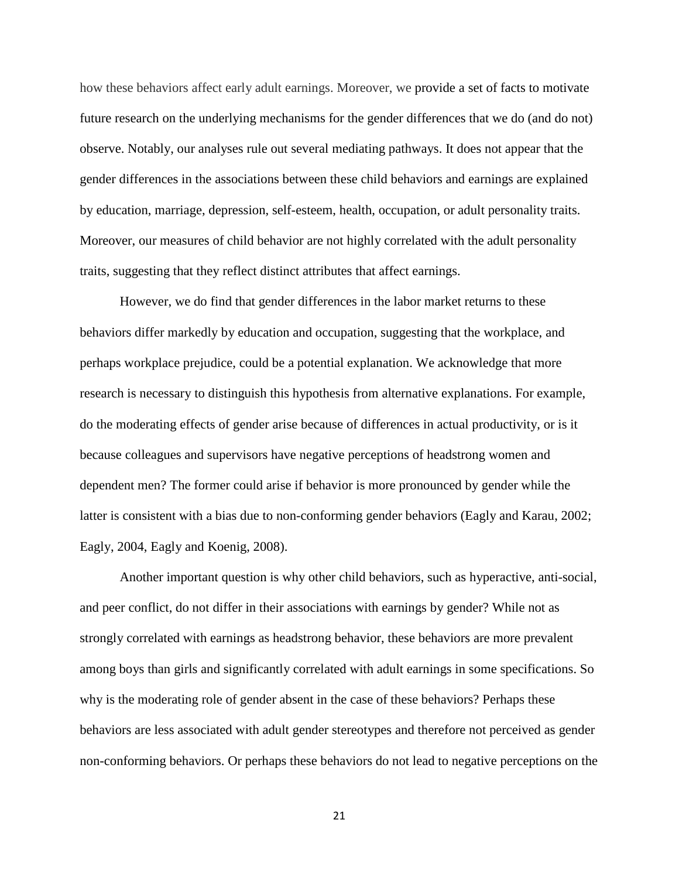how these behaviors affect early adult earnings. Moreover, we provide a set of facts to motivate future research on the underlying mechanisms for the gender differences that we do (and do not) observe. Notably, our analyses rule out several mediating pathways. It does not appear that the gender differences in the associations between these child behaviors and earnings are explained by education, marriage, depression, self-esteem, health, occupation, or adult personality traits. Moreover, our measures of child behavior are not highly correlated with the adult personality traits, suggesting that they reflect distinct attributes that affect earnings.

However, we do find that gender differences in the labor market returns to these behaviors differ markedly by education and occupation, suggesting that the workplace, and perhaps workplace prejudice, could be a potential explanation. We acknowledge that more research is necessary to distinguish this hypothesis from alternative explanations. For example, do the moderating effects of gender arise because of differences in actual productivity, or is it because colleagues and supervisors have negative perceptions of headstrong women and dependent men? The former could arise if behavior is more pronounced by gender while the latter is consistent with a bias due to non-conforming gender behaviors (Eagly and Karau, 2002; Eagly, 2004, Eagly and Koenig, 2008).

Another important question is why other child behaviors, such as hyperactive, anti-social, and peer conflict, do not differ in their associations with earnings by gender? While not as strongly correlated with earnings as headstrong behavior, these behaviors are more prevalent among boys than girls and significantly correlated with adult earnings in some specifications. So why is the moderating role of gender absent in the case of these behaviors? Perhaps these behaviors are less associated with adult gender stereotypes and therefore not perceived as gender non-conforming behaviors. Or perhaps these behaviors do not lead to negative perceptions on the

21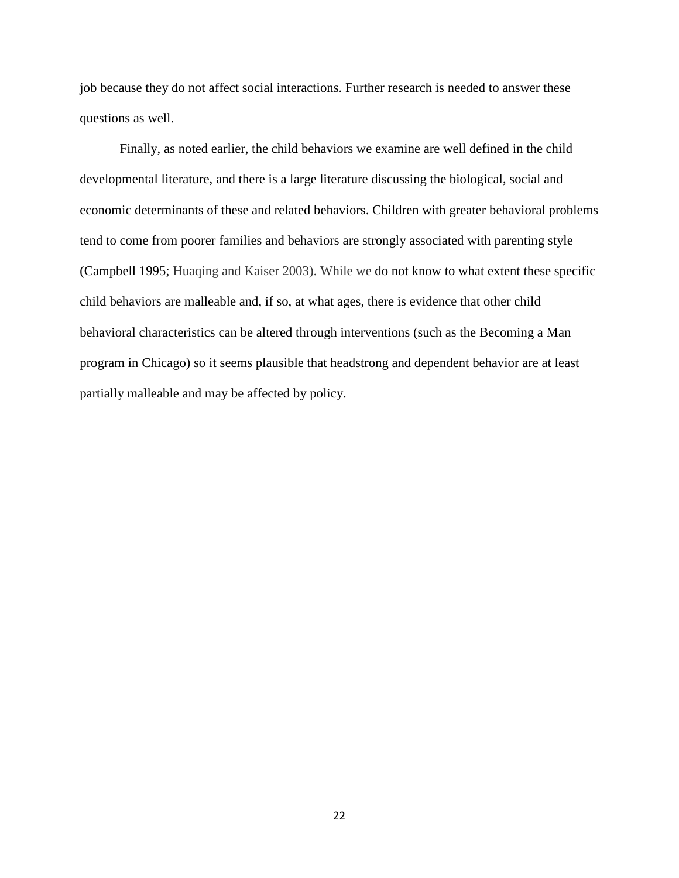job because they do not affect social interactions. Further research is needed to answer these questions as well.

Finally, as noted earlier, the child behaviors we examine are well defined in the child developmental literature, and there is a large literature discussing the biological, social and economic determinants of these and related behaviors. Children with greater behavioral problems tend to come from poorer families and behaviors are strongly associated with parenting style (Campbell 1995; Huaqing and Kaiser 2003). While we do not know to what extent these specific child behaviors are malleable and, if so, at what ages, there is evidence that other child behavioral characteristics can be altered through interventions (such as the Becoming a Man program in Chicago) so it seems plausible that headstrong and dependent behavior are at least partially malleable and may be affected by policy.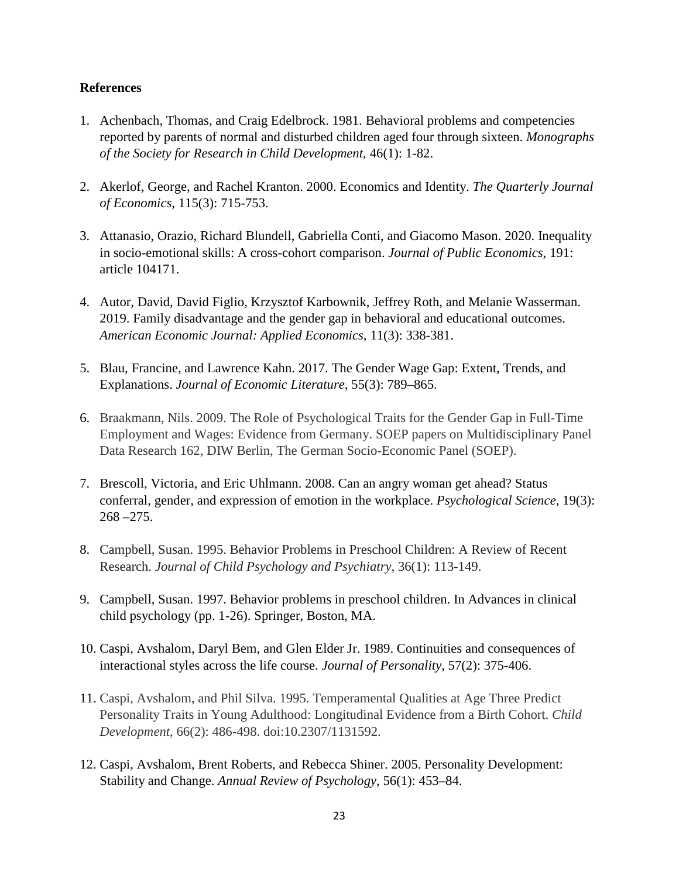# **References**

- 1. Achenbach, Thomas, and Craig Edelbrock. 1981. Behavioral problems and competencies reported by parents of normal and disturbed children aged four through sixteen. *Monographs of the Society for Research in Child Development*, 46(1): 1-82.
- 2. Akerlof, George, and Rachel Kranton. 2000. Economics and Identity. *The Quarterly Journal of Economics*, 115(3): 715-753.
- 3. Attanasio, Orazio, Richard Blundell, Gabriella Conti, and Giacomo Mason. 2020. Inequality in socio-emotional skills: A cross-cohort comparison. *Journal of Public Economics*, 191: article 104171.
- 4. Autor, David, David Figlio, Krzysztof Karbownik, Jeffrey Roth, and Melanie Wasserman. 2019. Family disadvantage and the gender gap in behavioral and educational outcomes. *American Economic Journal: Applied Economics*, 11(3): 338-381.
- 5. Blau, Francine, and Lawrence Kahn. 2017. The Gender Wage Gap: Extent, Trends, and Explanations. *Journal of Economic Literature*, 55(3): 789–865.
- 6. Braakmann, Nils. 2009. The Role of Psychological Traits for the Gender Gap in Full-Time Employment and Wages: Evidence from Germany. SOEP papers on Multidisciplinary Panel Data Research 162, DIW Berlin, The German Socio-Economic Panel (SOEP).
- 7. Brescoll, Victoria, and Eric Uhlmann. 2008. Can an angry woman get ahead? Status conferral, gender, and expression of emotion in the workplace. *Psychological Science*, 19(3): 268 –275.
- 8. Campbell, Susan. 1995. Behavior Problems in Preschool Children: A Review of Recent Research. *Journal of Child Psychology and Psychiatry*, 36(1): 113-149.
- 9. Campbell, Susan. 1997. Behavior problems in preschool children. In Advances in clinical child psychology (pp. 1-26). Springer, Boston, MA.
- 10. Caspi, Avshalom, Daryl Bem, and Glen Elder Jr. 1989. Continuities and consequences of interactional styles across the life course. *Journal of Personality*, 57(2): 375-406.
- 11. Caspi, Avshalom, and Phil Silva. 1995. Temperamental Qualities at Age Three Predict Personality Traits in Young Adulthood: Longitudinal Evidence from a Birth Cohort. *Child Development*, 66(2): 486-498. doi:10.2307/1131592.
- 12. Caspi, Avshalom, Brent Roberts, and Rebecca Shiner. 2005. Personality Development: Stability and Change. *Annual Review of Psychology*, 56(1): 453–84.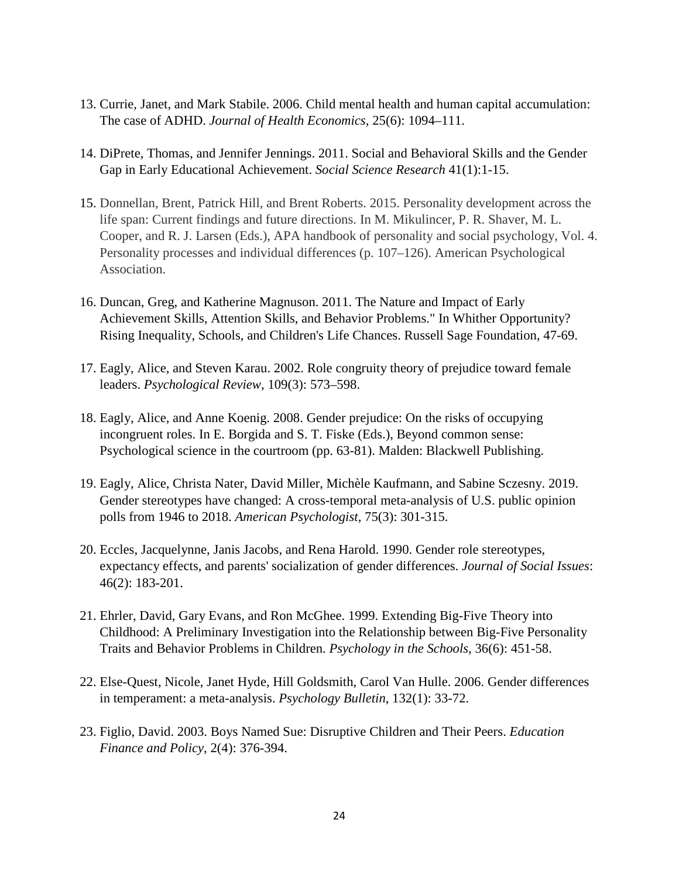- 13. Currie, Janet, and Mark Stabile. 2006. Child mental health and human capital accumulation: The case of ADHD. *Journal of Health Economics*, 25(6): 1094–111.
- 14. DiPrete, Thomas, and Jennifer Jennings. 2011. Social and Behavioral Skills and the Gender Gap in Early Educational Achievement. *Social Science Research* 41(1):1-15.
- 15. Donnellan, Brent, Patrick Hill, and Brent Roberts. 2015. Personality development across the life span: Current findings and future directions. In M. Mikulincer, P. R. Shaver, M. L. Cooper, and R. J. Larsen (Eds.), APA handbook of personality and social psychology, Vol. 4. Personality processes and individual differences (p. 107–126). American Psychological Association.
- 16. Duncan, Greg, and Katherine Magnuson. 2011. The Nature and Impact of Early Achievement Skills, Attention Skills, and Behavior Problems." In Whither Opportunity? Rising Inequality, Schools, and Children's Life Chances. Russell Sage Foundation, 47-69.
- 17. Eagly, Alice, and Steven Karau. 2002. Role congruity theory of prejudice toward female leaders. *Psychological Review*, 109(3): 573–598.
- 18. Eagly, Alice, and Anne Koenig. 2008. Gender prejudice: On the risks of occupying incongruent roles. In E. Borgida and S. T. Fiske (Eds.), Beyond common sense: Psychological science in the courtroom (pp. 63-81). Malden: Blackwell Publishing.
- 19. Eagly, Alice, Christa Nater, David Miller, Michèle Kaufmann, and Sabine Sczesny. 2019. Gender stereotypes have changed: A cross-temporal meta-analysis of U.S. public opinion polls from 1946 to 2018. *American Psychologist*, 75(3): 301-315.
- 20. Eccles, Jacquelynne, Janis Jacobs, and Rena Harold. 1990. Gender role stereotypes, expectancy effects, and parents' socialization of gender differences. *Journal of Social Issues*: 46(2): 183-201.
- 21. Ehrler, David, Gary Evans, and Ron McGhee. 1999. Extending Big-Five Theory into Childhood: A Preliminary Investigation into the Relationship between Big-Five Personality Traits and Behavior Problems in Children. *Psychology in the Schools*, 36(6): 451-58.
- 22. Else-Quest, Nicole, Janet Hyde, Hill Goldsmith, Carol Van Hulle. 2006. Gender differences in temperament: a meta-analysis. *Psychology Bulletin*, 132(1): 33-72.
- 23. Figlio, David. 2003. Boys Named Sue: Disruptive Children and Their Peers. *Education Finance and Policy*, 2(4): 376-394.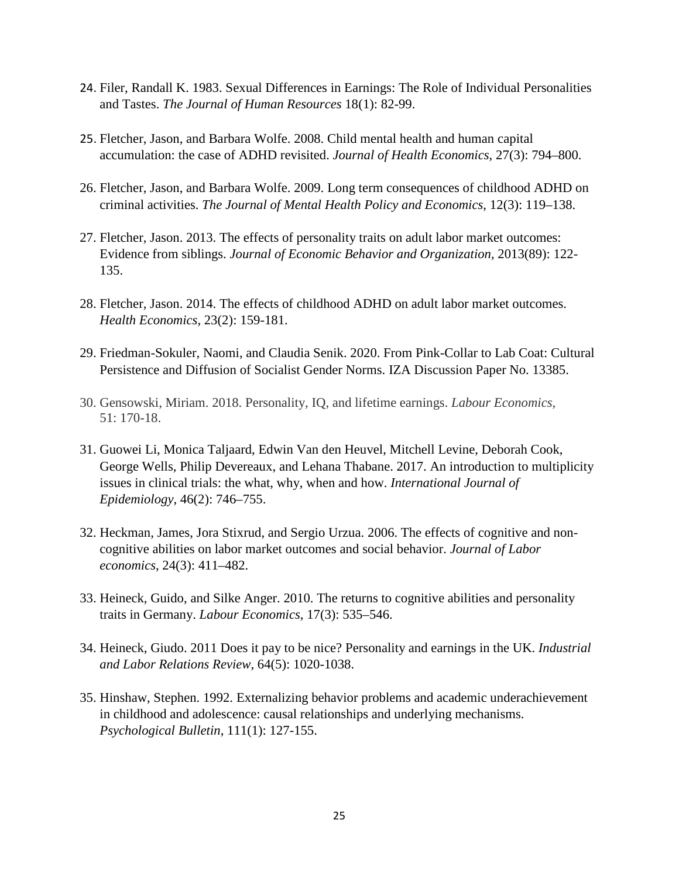- 24. Filer, Randall K. 1983. Sexual Differences in Earnings: The Role of Individual Personalities and Tastes. *The Journal of Human Resources* 18(1): 82-99.
- 25. Fletcher, Jason, and Barbara Wolfe. 2008. Child mental health and human capital accumulation: the case of ADHD revisited. *Journal of Health Economics*, 27(3): 794–800.
- 26. Fletcher, Jason, and Barbara Wolfe. 2009. Long term consequences of childhood ADHD on criminal activities. *The Journal of Mental Health Policy and Economics*, 12(3): 119–138.
- 27. Fletcher, Jason. 2013. The effects of personality traits on adult labor market outcomes: Evidence from siblings. *Journal of Economic Behavior and Organization*, 2013(89): 122- 135.
- 28. Fletcher, Jason. 2014. The effects of childhood ADHD on adult labor market outcomes. *Health Economics*, 23(2): 159-181.
- 29. Friedman-Sokuler, Naomi, and Claudia Senik. 2020. From Pink-Collar to Lab Coat: Cultural Persistence and Diffusion of Socialist Gender Norms. IZA Discussion Paper No. 13385.
- 30. Gensowski, Miriam. 2018. Personality, IQ, and lifetime earnings. *Labour Economics*, 51: 170-18.
- 31. Guowei Li, Monica Taljaard, Edwin Van den Heuvel, Mitchell Levine, Deborah Cook, George Wells, Philip Devereaux, and Lehana Thabane. 2017. An introduction to multiplicity issues in clinical trials: the what, why, when and how. *International Journal of Epidemiology*, 46(2): 746–755.
- 32. Heckman, James, Jora Stixrud, and Sergio Urzua. 2006. The effects of cognitive and noncognitive abilities on labor market outcomes and social behavior. *Journal of Labor economics*, 24(3): 411–482.
- 33. Heineck, Guido, and Silke Anger. 2010. The returns to cognitive abilities and personality traits in Germany. *Labour Economics*, 17(3): 535–546.
- 34. Heineck, Giudo. 2011 Does it pay to be nice? Personality and earnings in the UK. *Industrial and Labor Relations Review*, 64(5): 1020-1038.
- 35. Hinshaw, Stephen. 1992. Externalizing behavior problems and academic underachievement in childhood and adolescence: causal relationships and underlying mechanisms. *Psychological Bulletin*, 111(1): 127-155.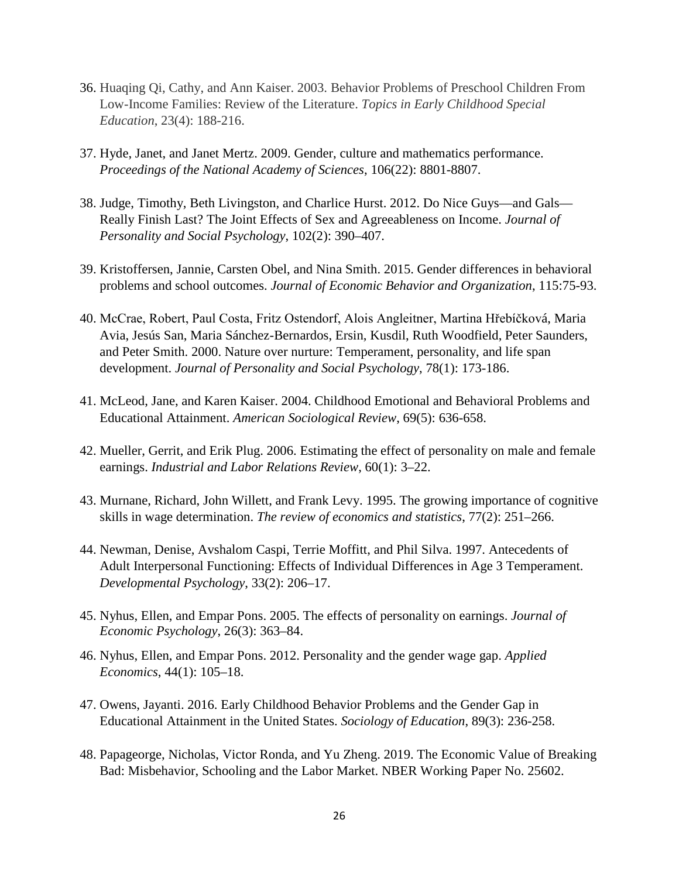- 36. Huaqing Qi, Cathy, and Ann Kaiser. 2003. Behavior Problems of Preschool Children From Low-Income Families: Review of the Literature. *Topics in Early Childhood Special Education*, 23(4): 188-216.
- 37. Hyde, Janet, and Janet Mertz. 2009. Gender, culture and mathematics performance. *Proceedings of the National Academy of Sciences*, 106(22): 8801-8807.
- 38. Judge, Timothy, Beth Livingston, and Charlice Hurst. 2012. Do Nice Guys—and Gals— Really Finish Last? The Joint Effects of Sex and Agreeableness on Income. *Journal of Personality and Social Psychology*, 102(2): 390–407.
- 39. Kristoffersen, Jannie, Carsten Obel, and Nina Smith. 2015. Gender differences in behavioral problems and school outcomes. *Journal of Economic Behavior and Organization*, 115:75-93.
- 40. McCrae, Robert, Paul Costa, Fritz Ostendorf, Alois Angleitner, Martina Hřebíčková, Maria Avia, Jesús San, Maria Sánchez-Bernardos, Ersin, Kusdil, Ruth Woodfield, Peter Saunders, and Peter Smith. 2000. Nature over nurture: Temperament, personality, and life span development. *Journal of Personality and Social Psychology*, 78(1): 173-186.
- 41. McLeod, Jane, and Karen Kaiser. 2004. Childhood Emotional and Behavioral Problems and Educational Attainment. *American Sociological Review*, 69(5): 636-658.
- 42. Mueller, Gerrit, and Erik Plug. 2006. Estimating the effect of personality on male and female earnings. *Industrial and Labor Relations Review*, 60(1): 3–22.
- 43. Murnane, Richard, John Willett, and Frank Levy. 1995. The growing importance of cognitive skills in wage determination. *The review of economics and statistics*, 77(2): 251–266.
- 44. Newman, Denise, Avshalom Caspi, Terrie Moffitt, and Phil Silva. 1997. Antecedents of Adult Interpersonal Functioning: Effects of Individual Differences in Age 3 Temperament. *Developmental Psychology*, 33(2): 206–17.
- 45. Nyhus, Ellen, and Empar Pons. 2005. The effects of personality on earnings. *Journal of Economic Psychology*, 26(3): 363–84.
- 46. Nyhus, Ellen, and Empar Pons. 2012. Personality and the gender wage gap. *Applied Economics*, 44(1): 105–18.
- 47. Owens, Jayanti. 2016. Early Childhood Behavior Problems and the Gender Gap in Educational Attainment in the United States. *Sociology of Education*, 89(3): 236-258.
- 48. Papageorge, Nicholas, Victor Ronda, and Yu Zheng. 2019. The Economic Value of Breaking Bad: Misbehavior, Schooling and the Labor Market. NBER Working Paper No. 25602.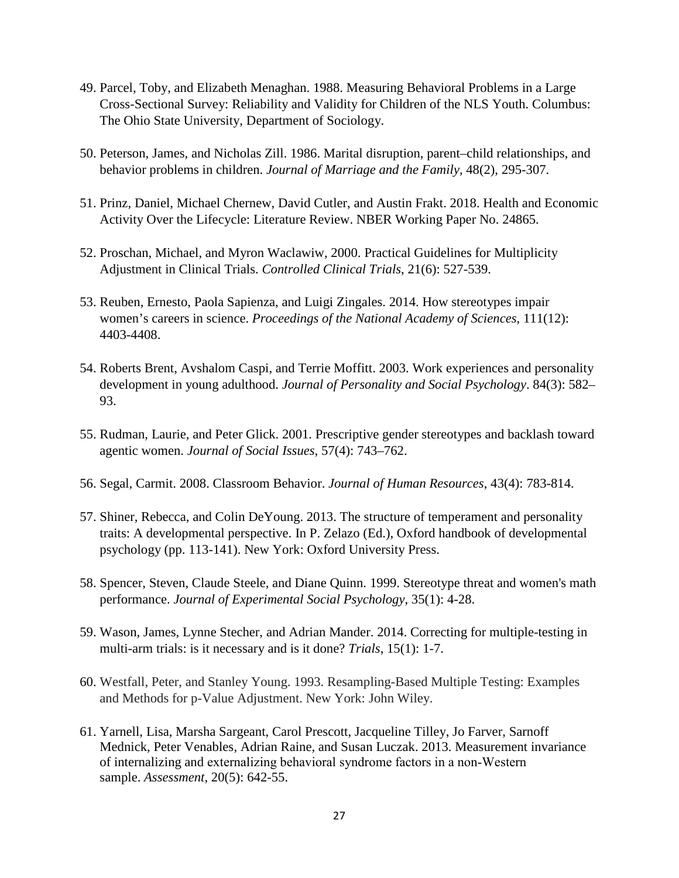- 49. Parcel, Toby, and Elizabeth Menaghan. 1988. Measuring Behavioral Problems in a Large Cross-Sectional Survey: Reliability and Validity for Children of the NLS Youth. Columbus: The Ohio State University, Department of Sociology.
- 50. Peterson, James, and Nicholas Zill. 1986. Marital disruption, parent–child relationships, and behavior problems in children. *Journal of Marriage and the Family*, 48(2), 295-307.
- 51. Prinz, Daniel, Michael Chernew, David Cutler, and Austin Frakt. 2018. Health and Economic Activity Over the Lifecycle: Literature Review. NBER Working Paper No. 24865.
- 52. Proschan, Michael, and Myron Waclawiw, 2000. Practical Guidelines for Multiplicity Adjustment in Clinical Trials. *Controlled Clinical Trials*, 21(6): 527-539.
- 53. Reuben, Ernesto, Paola Sapienza, and Luigi Zingales. 2014. How stereotypes impair women's careers in science. *Proceedings of the National Academy of Sciences*, 111(12): 4403-4408.
- 54. Roberts Brent, Avshalom Caspi, and Terrie Moffitt. 2003. Work experiences and personality development in young adulthood. *Journal of Personality and Social Psychology*. 84(3): 582– 93.
- 55. Rudman, Laurie, and Peter Glick. 2001. Prescriptive gender stereotypes and backlash toward agentic women. *Journal of Social Issues*, 57(4): 743–762.
- 56. Segal, Carmit. 2008. Classroom Behavior. *Journal of Human Resources*, 43(4): 783-814.
- 57. Shiner, Rebecca, and Colin DeYoung. 2013. The structure of temperament and personality traits: A developmental perspective. In P. Zelazo (Ed.), Oxford handbook of developmental psychology (pp. 113-141). New York: Oxford University Press.
- 58. Spencer, Steven, Claude Steele, and Diane Quinn. 1999. Stereotype threat and women's math performance. *Journal of Experimental Social Psychology*, 35(1): 4-28.
- 59. Wason, James, Lynne Stecher, and Adrian Mander. 2014. Correcting for multiple-testing in multi-arm trials: is it necessary and is it done? *Trials*, 15(1): 1-7.
- 60. Westfall, Peter, and Stanley Young. 1993. Resampling-Based Multiple Testing: Examples and Methods for p-Value Adjustment. New York: John Wiley.
- 61. Yarnell, Lisa, Marsha Sargeant, Carol Prescott, Jacqueline Tilley, Jo Farver, Sarnoff Mednick, Peter Venables, Adrian Raine, and Susan Luczak. 2013. Measurement invariance of internalizing and externalizing behavioral syndrome factors in a non‐Western sample. *Assessment*, 20(5): 642-55.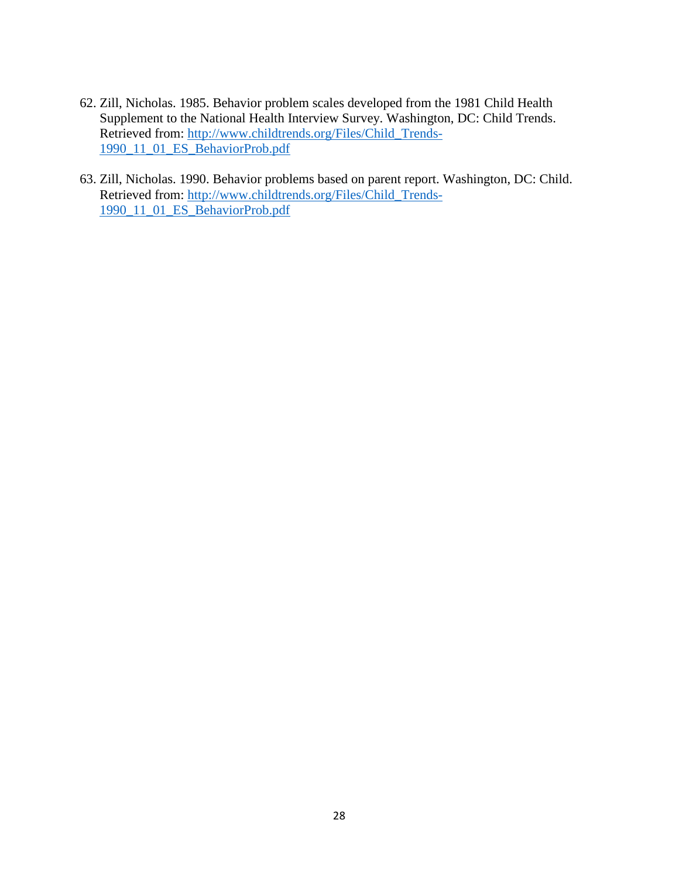- 62. Zill, Nicholas. 1985. Behavior problem scales developed from the 1981 Child Health Supplement to the National Health Interview Survey. Washington, DC: Child Trends. Retrieved from: [http://www.childtrends.org/Files/Child\\_Trends-](http://www.childtrends.org/Files/Child_Trends-1990_11_01_ES_BehaviorProb.pdf)[1990\\_11\\_01\\_ES\\_BehaviorProb.pdf](http://www.childtrends.org/Files/Child_Trends-1990_11_01_ES_BehaviorProb.pdf)
- 63. Zill, Nicholas. 1990. Behavior problems based on parent report. Washington, DC: Child. Retrieved from: [http://www.childtrends.org/Files/Child\\_Trends-](http://www.childtrends.org/Files/Child_Trends-1990_11_01_ES_BehaviorProb.pdf)[1990\\_11\\_01\\_ES\\_BehaviorProb.pdf](http://www.childtrends.org/Files/Child_Trends-1990_11_01_ES_BehaviorProb.pdf)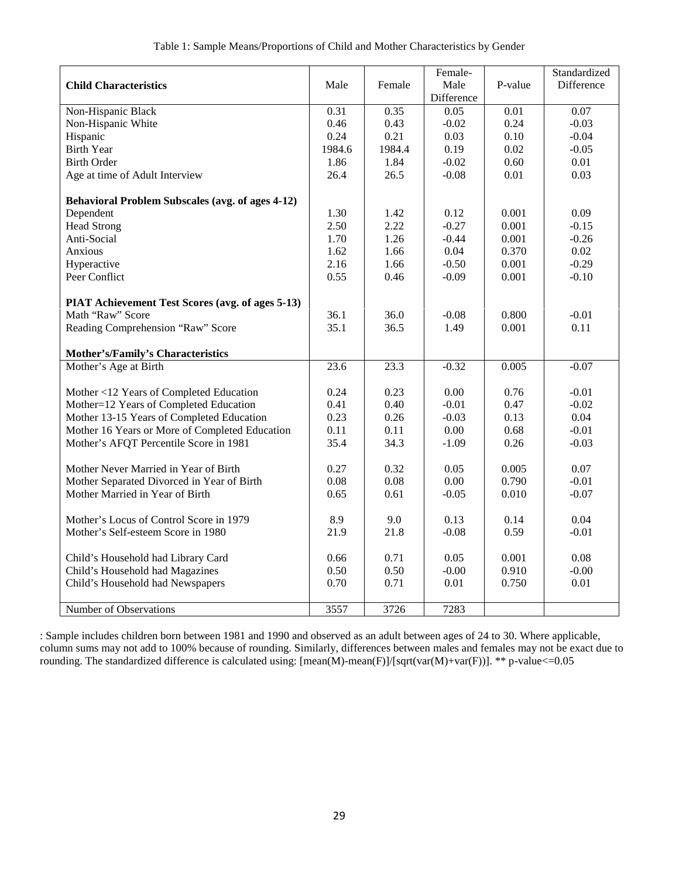|                                                         |              |              | Female-         |                   | Standardized    |
|---------------------------------------------------------|--------------|--------------|-----------------|-------------------|-----------------|
| <b>Child Characteristics</b>                            | Male         | Female       | Male            | P-value           | Difference      |
|                                                         |              |              | Difference      |                   |                 |
| Non-Hispanic Black                                      | 0.31         | 0.35         | 0.05            | $\overline{0.01}$ | 0.07            |
| Non-Hispanic White                                      | 0.46         | 0.43         | $-0.02$         | 0.24              | $-0.03$         |
| Hispanic                                                | 0.24         | 0.21         | 0.03            | 0.10              | $-0.04$         |
| <b>Birth Year</b>                                       | 1984.6       | 1984.4       | 0.19            | 0.02              | $-0.05$         |
| <b>Birth Order</b>                                      | 1.86         | 1.84         | $-0.02$         | 0.60              | 0.01            |
| Age at time of Adult Interview                          | 26.4         | 26.5         | $-0.08$         | 0.01              | 0.03            |
|                                                         |              |              |                 |                   |                 |
| <b>Behavioral Problem Subscales (avg. of ages 4-12)</b> |              |              |                 |                   |                 |
| Dependent                                               | 1.30         | 1.42         | 0.12            | 0.001             | 0.09            |
| <b>Head Strong</b>                                      | 2.50         | 2.22         | $-0.27$         | 0.001             | $-0.15$         |
| Anti-Social                                             | 1.70         | 1.26         | $-0.44$         | 0.001             | $-0.26$         |
| Anxious                                                 | 1.62         | 1.66         | 0.04            | 0.370             | 0.02            |
| Hyperactive                                             | 2.16         | 1.66         | $-0.50$         | 0.001             | $-0.29$         |
| Peer Conflict                                           | 0.55         | 0.46         | $-0.09$         | 0.001             | $-0.10$         |
|                                                         |              |              |                 |                   |                 |
| PIAT Achievement Test Scores (avg. of ages 5-13)        |              |              |                 |                   |                 |
| Math "Raw" Score                                        | 36.1         | 36.0         | $-0.08$         | 0.800             | $-0.01$         |
| Reading Comprehension "Raw" Score                       | 35.1         | 36.5         | 1.49            | 0.001             | 0.11            |
|                                                         |              |              |                 |                   |                 |
| Mother's/Family's Characteristics                       |              |              |                 |                   |                 |
| Mother's Age at Birth                                   | 23.6         | 23.3         | $-0.32$         | 0.005             | $-0.07$         |
|                                                         |              |              |                 |                   |                 |
| Mother <12 Years of Completed Education                 | 0.24         | 0.23         | 0.00            | 0.76              | $-0.01$         |
| Mother=12 Years of Completed Education                  | 0.41         | 0.40         | $-0.01$         | 0.47              | $-0.02$<br>0.04 |
| Mother 13-15 Years of Completed Education               | 0.23<br>0.11 | 0.26<br>0.11 | $-0.03$<br>0.00 | 0.13<br>0.68      | $-0.01$         |
| Mother 16 Years or More of Completed Education          | 35.4         | 34.3         | $-1.09$         | 0.26              | $-0.03$         |
| Mother's AFQT Percentile Score in 1981                  |              |              |                 |                   |                 |
| Mother Never Married in Year of Birth                   | 0.27         | 0.32         | 0.05            | 0.005             | 0.07            |
| Mother Separated Divorced in Year of Birth              | 0.08         | 0.08         | 0.00            | 0.790             | $-0.01$         |
| Mother Married in Year of Birth                         | 0.65         | 0.61         | $-0.05$         | 0.010             | $-0.07$         |
|                                                         |              |              |                 |                   |                 |
| Mother's Locus of Control Score in 1979                 | 8.9          | 9.0          | 0.13            | 0.14              | 0.04            |
| Mother's Self-esteem Score in 1980                      | 21.9         | 21.8         | $-0.08$         | 0.59              | $-0.01$         |
|                                                         |              |              |                 |                   |                 |
| Child's Household had Library Card                      | 0.66         | 0.71         | 0.05            | 0.001             | 0.08            |
| Child's Household had Magazines                         | 0.50         | 0.50         | $-0.00$         | 0.910             | $-0.00$         |
| Child's Household had Newspapers                        | 0.70         | 0.71         | 0.01            | 0.750             | 0.01            |
|                                                         |              |              |                 |                   |                 |
| Number of Observations                                  | 3557         | 3726         | 7283            |                   |                 |

: Sample includes children born between 1981 and 1990 and observed as an adult between ages of 24 to 30. Where applicable, column sums may not add to 100% because of rounding. Similarly, differences between males and females may not be exact due to rounding. The standardized difference is calculated using: [mean(M)-mean(F)]/[sqrt(var(M)+var(F))]. \*\* p-value<=0.05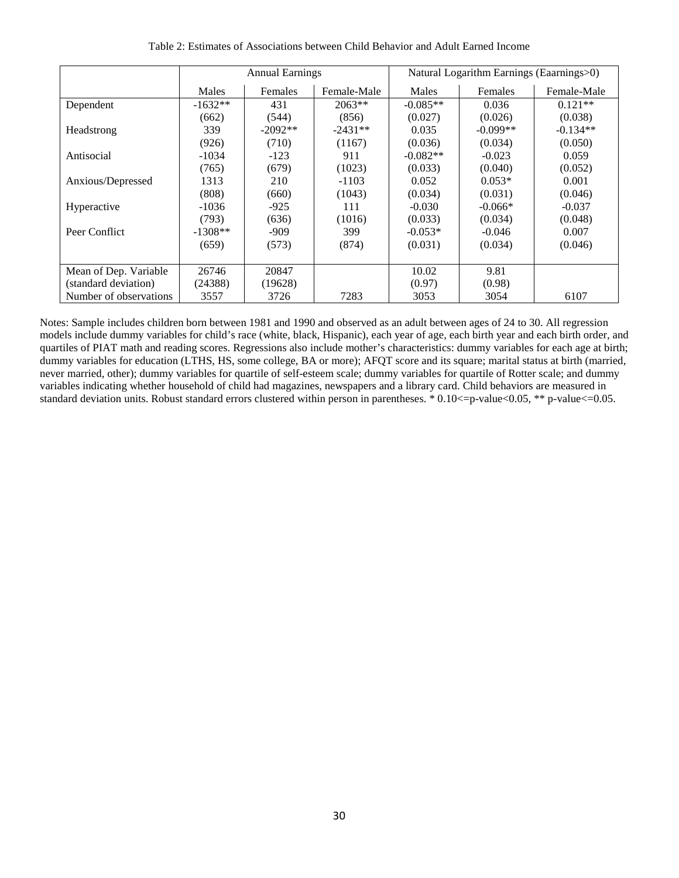|                        |           | <b>Annual Earnings</b> |             |            | Natural Logarithm Earnings (Eaarnings>0) |             |
|------------------------|-----------|------------------------|-------------|------------|------------------------------------------|-------------|
|                        | Males     | <b>Females</b>         | Female-Male | Males      | Females                                  | Female-Male |
| Dependent              | $-1632**$ | 431                    | $2063**$    | $-0.085**$ | 0.036                                    | $0.121**$   |
|                        | (662)     | (544)                  | (856)       | (0.027)    | (0.026)                                  | (0.038)     |
| Headstrong             | 339       | $-2092**$              | $-2431**$   | 0.035      | $-0.099**$                               | $-0.134**$  |
|                        | (926)     | (710)                  | (1167)      | (0.036)    | (0.034)                                  | (0.050)     |
| Antisocial             | -1034     | $-123$                 | 911         | $-0.082**$ | $-0.023$                                 | 0.059       |
|                        | (765)     | (679)                  | (1023)      | (0.033)    | (0.040)                                  | (0.052)     |
| Anxious/Depressed      | 1313      | 210                    | $-1103$     | 0.052      | $0.053*$                                 | 0.001       |
|                        | (808)     | (660)                  | (1043)      | (0.034)    | (0.031)                                  | (0.046)     |
| Hyperactive            | $-1036$   | $-925$                 | 111         | $-0.030$   | $-0.066*$                                | $-0.037$    |
|                        | (793)     | (636)                  | (1016)      | (0.033)    | (0.034)                                  | (0.048)     |
| Peer Conflict          | $-1308**$ | $-909$                 | 399         | $-0.053*$  | $-0.046$                                 | 0.007       |
|                        | (659)     | (573)                  | (874)       | (0.031)    | (0.034)                                  | (0.046)     |
|                        |           |                        |             |            |                                          |             |
| Mean of Dep. Variable  | 26746     | 20847                  |             | 10.02      | 9.81                                     |             |
| (standard deviation)   | (24388)   | (19628)                |             | (0.97)     | (0.98)                                   |             |
| Number of observations | 3557      | 3726                   | 7283        | 3053       | 3054                                     | 6107        |

Table 2: Estimates of Associations between Child Behavior and Adult Earned Income

Notes: Sample includes children born between 1981 and 1990 and observed as an adult between ages of 24 to 30. All regression models include dummy variables for child's race (white, black, Hispanic), each year of age, each birth year and each birth order, and quartiles of PIAT math and reading scores. Regressions also include mother's characteristics: dummy variables for each age at birth; dummy variables for education (LTHS, HS, some college, BA or more); AFQT score and its square; marital status at birth (married, never married, other); dummy variables for quartile of self-esteem scale; dummy variables for quartile of Rotter scale; and dummy variables indicating whether household of child had magazines, newspapers and a library card. Child behaviors are measured in standard deviation units. Robust standard errors clustered within person in parentheses. \* 0.10 <= p-value<0.05, \*\* p-value <= 0.05.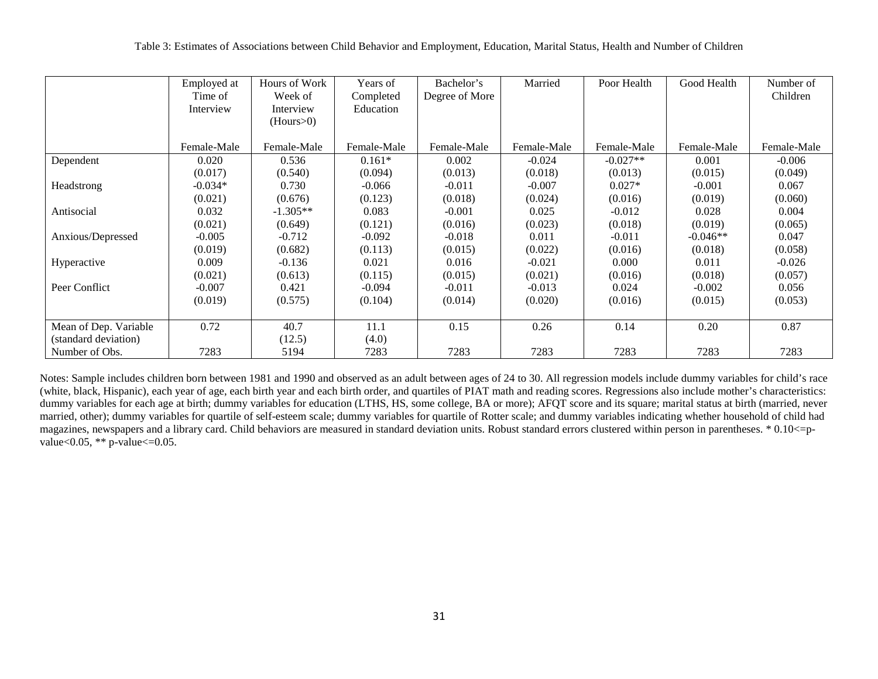|                       | Employed at<br>Time of<br>Interview | Hours of Work<br>Week of<br>Interview<br>(Hours>0) | Years of<br>Completed<br>Education | Bachelor's<br>Degree of More | Married     | Poor Health | Good Health | Number of<br>Children |
|-----------------------|-------------------------------------|----------------------------------------------------|------------------------------------|------------------------------|-------------|-------------|-------------|-----------------------|
|                       | Female-Male                         | Female-Male                                        | Female-Male                        | Female-Male                  | Female-Male | Female-Male | Female-Male | Female-Male           |
| Dependent             | 0.020                               | 0.536                                              | $0.161*$                           | 0.002                        | $-0.024$    | $-0.027**$  | 0.001       | $-0.006$              |
|                       | (0.017)                             | (0.540)                                            | (0.094)                            | (0.013)                      | (0.018)     | (0.013)     | (0.015)     | (0.049)               |
| Headstrong            | $-0.034*$                           | 0.730                                              | $-0.066$                           | $-0.011$                     | $-0.007$    | $0.027*$    | $-0.001$    | 0.067                 |
|                       | (0.021)                             | (0.676)                                            | (0.123)                            | (0.018)                      | (0.024)     | (0.016)     | (0.019)     | (0.060)               |
| Antisocial            | 0.032                               | $-1.305**$                                         | 0.083                              | $-0.001$                     | 0.025       | $-0.012$    | 0.028       | 0.004                 |
|                       | (0.021)                             | (0.649)                                            | (0.121)                            | (0.016)                      | (0.023)     | (0.018)     | (0.019)     | (0.065)               |
| Anxious/Depressed     | $-0.005$                            | $-0.712$                                           | $-0.092$                           | $-0.018$                     | 0.011       | $-0.011$    | $-0.046**$  | 0.047                 |
|                       | (0.019)                             | (0.682)                                            | (0.113)                            | (0.015)                      | (0.022)     | (0.016)     | (0.018)     | (0.058)               |
| Hyperactive           | 0.009                               | $-0.136$                                           | 0.021                              | 0.016                        | $-0.021$    | 0.000       | 0.011       | $-0.026$              |
|                       | (0.021)                             | (0.613)                                            | (0.115)                            | (0.015)                      | (0.021)     | (0.016)     | (0.018)     | (0.057)               |
| Peer Conflict         | $-0.007$                            | 0.421                                              | $-0.094$                           | $-0.011$                     | $-0.013$    | 0.024       | $-0.002$    | 0.056                 |
|                       | (0.019)                             | (0.575)                                            | (0.104)                            | (0.014)                      | (0.020)     | (0.016)     | (0.015)     | (0.053)               |
|                       |                                     |                                                    |                                    |                              |             |             |             |                       |
| Mean of Dep. Variable | 0.72                                | 40.7                                               | 11.1                               | 0.15                         | 0.26        | 0.14        | 0.20        | 0.87                  |
| (standard deviation)  |                                     | (12.5)                                             | (4.0)                              |                              |             |             |             |                       |
| Number of Obs.        | 7283                                | 5194                                               | 7283                               | 7283                         | 7283        | 7283        | 7283        | 7283                  |

Notes: Sample includes children born between 1981 and 1990 and observed as an adult between ages of 24 to 30. All regression models include dummy variables for child's race (white, black, Hispanic), each year of age, each birth year and each birth order, and quartiles of PIAT math and reading scores. Regressions also include mother's characteristics: dummy variables for each age at birth; dummy variables for education (LTHS, HS, some college, BA or more); AFQT score and its square; marital status at birth (married, never married, other); dummy variables for quartile of self-esteem scale; dummy variables for quartile of Rotter scale; and dummy variables indicating whether household of child had magazines, newspapers and a library card. Child behaviors are measured in standard deviation units. Robust standard errors clustered within person in parentheses. \* 0.10<=pvalue< $0.05$ , \*\* p-value $\leq 0.05$ .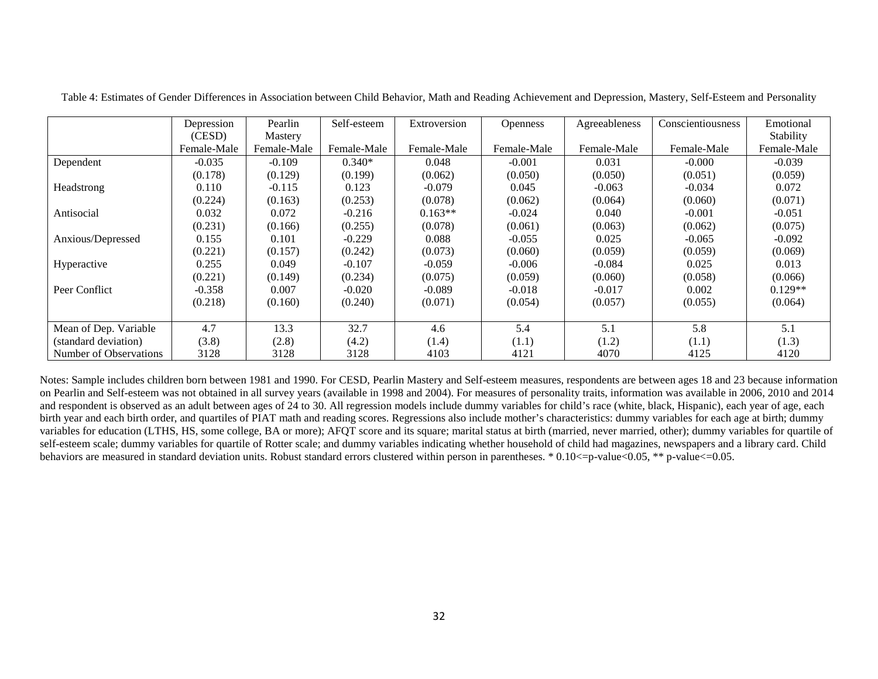|                        | Depression  | Pearlin     | Self-esteem | Extroversion | <b>Openness</b> | Agreeableness | Conscientiousness | Emotional   |
|------------------------|-------------|-------------|-------------|--------------|-----------------|---------------|-------------------|-------------|
|                        | (CESD)      | Mastery     |             |              |                 |               |                   | Stability   |
|                        | Female-Male | Female-Male | Female-Male | Female-Male  | Female-Male     | Female-Male   | Female-Male       | Female-Male |
| Dependent              | $-0.035$    | $-0.109$    | $0.340*$    | 0.048        | $-0.001$        | 0.031         | $-0.000$          | $-0.039$    |
|                        | (0.178)     | (0.129)     | (0.199)     | (0.062)      | (0.050)         | (0.050)       | (0.051)           | (0.059)     |
| Headstrong             | 0.110       | $-0.115$    | 0.123       | $-0.079$     | 0.045           | $-0.063$      | $-0.034$          | 0.072       |
|                        | (0.224)     | (0.163)     | (0.253)     | (0.078)      | (0.062)         | (0.064)       | (0.060)           | (0.071)     |
| Antisocial             | 0.032       | 0.072       | $-0.216$    | $0.163**$    | $-0.024$        | 0.040         | $-0.001$          | $-0.051$    |
|                        | (0.231)     | (0.166)     | (0.255)     | (0.078)      | (0.061)         | (0.063)       | (0.062)           | (0.075)     |
| Anxious/Depressed      | 0.155       | 0.101       | $-0.229$    | 0.088        | $-0.055$        | 0.025         | $-0.065$          | $-0.092$    |
|                        | (0.221)     | (0.157)     | (0.242)     | (0.073)      | (0.060)         | (0.059)       | (0.059)           | (0.069)     |
| Hyperactive            | 0.255       | 0.049       | $-0.107$    | $-0.059$     | $-0.006$        | $-0.084$      | 0.025             | 0.013       |
|                        | (0.221)     | (0.149)     | (0.234)     | (0.075)      | (0.059)         | (0.060)       | (0.058)           | (0.066)     |
| Peer Conflict          | $-0.358$    | 0.007       | $-0.020$    | $-0.089$     | $-0.018$        | $-0.017$      | 0.002             | $0.129**$   |
|                        | (0.218)     | (0.160)     | (0.240)     | (0.071)      | (0.054)         | (0.057)       | (0.055)           | (0.064)     |
|                        |             |             |             |              |                 |               |                   |             |
| Mean of Dep. Variable  | 4.7         | 13.3        | 32.7        | 4.6          | 5.4             | 5.1           | 5.8               | 5.1         |
| (standard deviation)   | (3.8)       | (2.8)       | (4.2)       | (1.4)        | (1.1)           | (1.2)         | (1.1)             | (1.3)       |
| Number of Observations | 3128        | 3128        | 3128        | 4103         | 4121            | 4070          | 4125              | 4120        |

Table 4: Estimates of Gender Differences in Association between Child Behavior, Math and Reading Achievement and Depression, Mastery, Self-Esteem and Personality

Notes: Sample includes children born between 1981 and 1990. For CESD, Pearlin Mastery and Self-esteem measures, respondents are between ages 18 and 23 because information on Pearlin and Self-esteem was not obtained in all survey years (available in 1998 and 2004). For measures of personality traits, information was available in 2006, 2010 and 2014 and respondent is observed as an adult between ages of 24 to 30. All regression models include dummy variables for child's race (white, black, Hispanic), each year of age, each birth year and each birth order, and quartiles of PIAT math and reading scores. Regressions also include mother's characteristics: dummy variables for each age at birth; dummy variables for education (LTHS, HS, some college, BA or more); AFQT score and its square; marital status at birth (married, never married, other); dummy variables for quartile of self-esteem scale; dummy variables for quartile of Rotter scale; and dummy variables indicating whether household of child had magazines, newspapers and a library card. Child behaviors are measured in standard deviation units. Robust standard errors clustered within person in parentheses. \* 0.10 <= p-value < 0.05, \*\* p-value < = 0.05.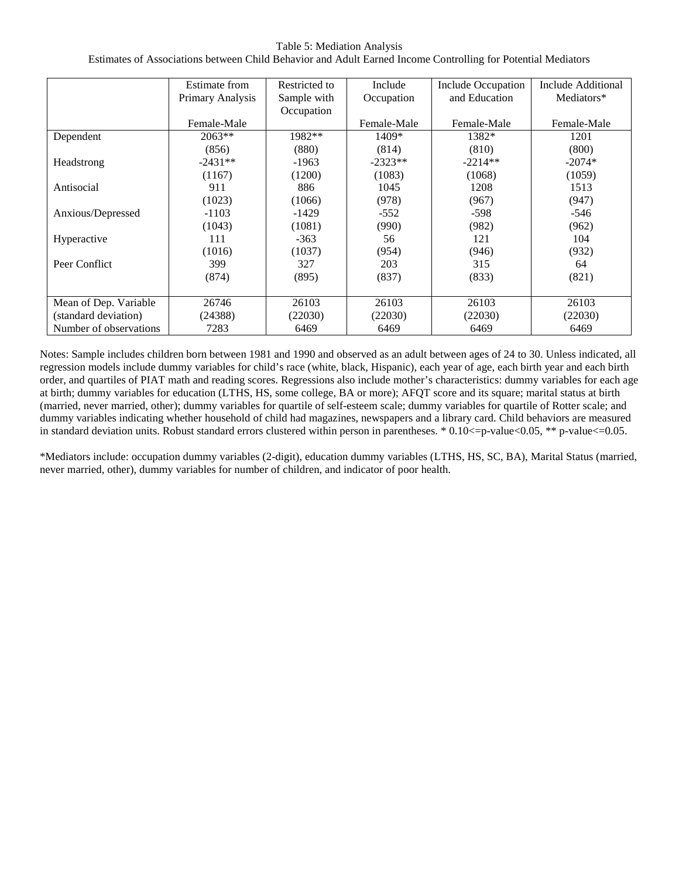#### Table 5: Mediation Analysis

Estimates of Associations between Child Behavior and Adult Earned Income Controlling for Potential Mediators

|                        | Estimate from    | Restricted to | Include     | Include Occupation | <b>Include Additional</b> |
|------------------------|------------------|---------------|-------------|--------------------|---------------------------|
|                        | Primary Analysis | Sample with   | Occupation  | and Education      | Mediators*                |
|                        |                  | Occupation    |             |                    |                           |
|                        | Female-Male      |               | Female-Male | Female-Male        | Female-Male               |
| Dependent              | $2063**$         | 1982**        | $1409*$     | 1382*              | 1201                      |
|                        | (856)            | (880)         | (814)       | (810)              | (800)                     |
| Headstrong             | $-2431**$        | $-1963$       | $-2323**$   | $-2214**$          | $-2074*$                  |
|                        | (1167)           | (1200)        | (1083)      | (1068)             | (1059)                    |
| Antisocial             | 911              | 886           | 1045        | 1208               | 1513                      |
|                        | (1023)           | (1066)        | (978)       | (967)              | (947)                     |
| Anxious/Depressed      | $-1103$          | $-1429$       | $-552$      | -598               | $-546$                    |
|                        | (1043)           | (1081)        | (990)       | (982)              | (962)                     |
| Hyperactive            | 111              | $-363$        | 56          | 121                | 104                       |
|                        | (1016)           | (1037)        | (954)       | (946)              | (932)                     |
| Peer Conflict          | 399              | 327           | 203         | 315                | 64                        |
|                        | (874)            | (895)         | (837)       | (833)              | (821)                     |
|                        |                  |               |             |                    |                           |
| Mean of Dep. Variable  | 26746            | 26103         | 26103       | 26103              | 26103                     |
| (standard deviation)   | (24388)          | (22030)       | (22030)     | (22030)            | (22030)                   |
| Number of observations | 7283             | 6469          | 6469        | 6469               | 6469                      |

Notes: Sample includes children born between 1981 and 1990 and observed as an adult between ages of 24 to 30. Unless indicated, all regression models include dummy variables for child's race (white, black, Hispanic), each year of age, each birth year and each birth order, and quartiles of PIAT math and reading scores. Regressions also include mother's characteristics: dummy variables for each age at birth; dummy variables for education (LTHS, HS, some college, BA or more); AFQT score and its square; marital status at birth (married, never married, other); dummy variables for quartile of self-esteem scale; dummy variables for quartile of Rotter scale; and dummy variables indicating whether household of child had magazines, newspapers and a library card. Child behaviors are measured in standard deviation units. Robust standard errors clustered within person in parentheses. \* 0.10 <= p-value<0.05, \*\* p-value <= 0.05.

\*Mediators include: occupation dummy variables (2-digit), education dummy variables (LTHS, HS, SC, BA), Marital Status (married, never married, other), dummy variables for number of children, and indicator of poor health.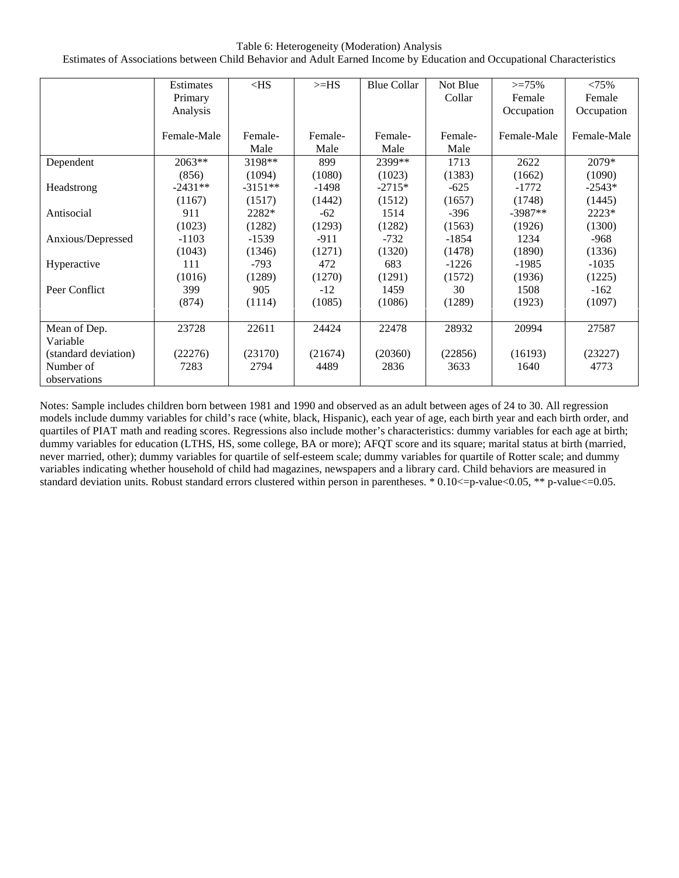Table 6: Heterogeneity (Moderation) Analysis

Estimates of Associations between Child Behavior and Adult Earned Income by Education and Occupational Characteristics

|                      | Estimates   | $<$ HS    | $>=$ HS | <b>Blue Collar</b> | Not Blue | $>=75%$     | $< 75\%$    |
|----------------------|-------------|-----------|---------|--------------------|----------|-------------|-------------|
|                      | Primary     |           |         |                    | Collar   | Female      | Female      |
|                      | Analysis    |           |         |                    |          | Occupation  | Occupation  |
|                      |             |           |         |                    |          |             |             |
|                      | Female-Male | Female-   | Female- | Female-            | Female-  | Female-Male | Female-Male |
|                      |             | Male      | Male    | Male               | Male     |             |             |
| Dependent            | $2063**$    | 3198**    | 899     | 2399**             | 1713     | 2622        | 2079*       |
|                      | (856)       | (1094)    | (1080)  | (1023)             | (1383)   | (1662)      | (1090)      |
| Headstrong           | $-2431**$   | $-3151**$ | -1498   | $-2715*$           | $-625$   | $-1772$     | $-2543*$    |
|                      | (1167)      | (1517)    | (1442)  | (1512)             | (1657)   | (1748)      | (1445)      |
| Antisocial           | 911         | 2282*     | $-62$   | 1514               | $-396$   | $-3987**$   | 2223*       |
|                      | (1023)      | (1282)    | (1293)  | (1282)             | (1563)   | (1926)      | (1300)      |
| Anxious/Depressed    | $-1103$     | $-1539$   | $-911$  | $-732$             | -1854    | 1234        | -968        |
|                      | (1043)      | (1346)    | (1271)  | (1320)             | (1478)   | (1890)      | (1336)      |
| Hyperactive          | 111         | $-793$    | 472     | 683                | $-1226$  | -1985       | $-1035$     |
|                      | (1016)      | (1289)    | (1270)  | (1291)             | (1572)   | (1936)      | (1225)      |
| Peer Conflict        | 399         | 905       | $-12$   | 1459               | 30       | 1508        | $-162$      |
|                      | (874)       | (1114)    | (1085)  | (1086)             | (1289)   | (1923)      | (1097)      |
|                      |             |           |         |                    |          |             |             |
| Mean of Dep.         | 23728       | 22611     | 24424   | 22478              | 28932    | 20994       | 27587       |
| Variable             |             |           |         |                    |          |             |             |
| (standard deviation) | (22276)     | (23170)   | (21674) | (20360)            | (22856)  | (16193)     | (23227)     |
| Number of            | 7283        | 2794      | 4489    | 2836               | 3633     | 1640        | 4773        |
| observations         |             |           |         |                    |          |             |             |

Notes: Sample includes children born between 1981 and 1990 and observed as an adult between ages of 24 to 30. All regression models include dummy variables for child's race (white, black, Hispanic), each year of age, each birth year and each birth order, and quartiles of PIAT math and reading scores. Regressions also include mother's characteristics: dummy variables for each age at birth; dummy variables for education (LTHS, HS, some college, BA or more); AFQT score and its square; marital status at birth (married, never married, other); dummy variables for quartile of self-esteem scale; dummy variables for quartile of Rotter scale; and dummy variables indicating whether household of child had magazines, newspapers and a library card. Child behaviors are measured in standard deviation units. Robust standard errors clustered within person in parentheses. \* 0.10<=p-value<0.05, \*\* p-value<=0.05.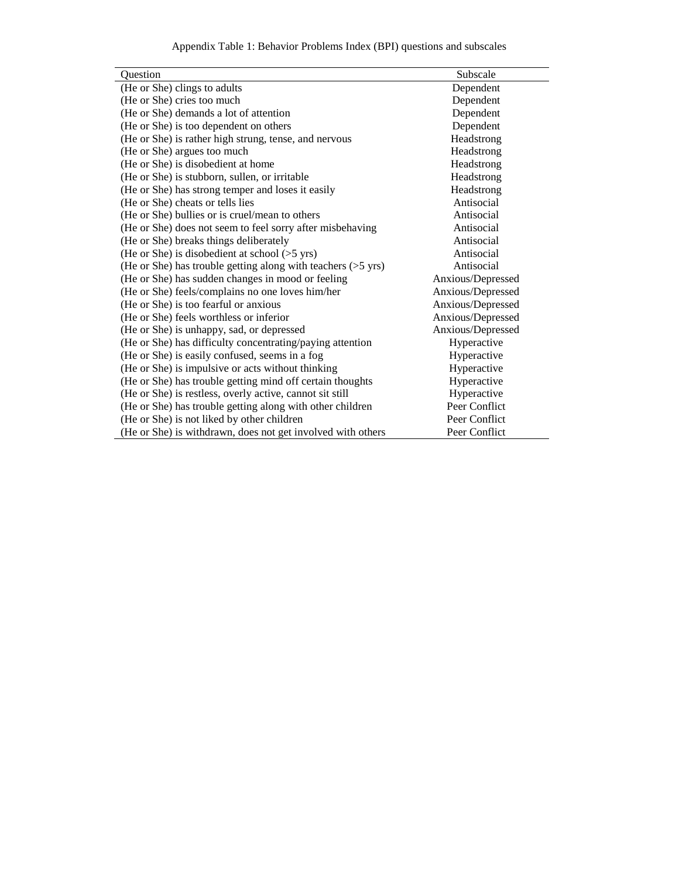Appendix Table 1: Behavior Problems Index (BPI) questions and subscales

| Question                                                     | Subscale          |
|--------------------------------------------------------------|-------------------|
| (He or She) clings to adults                                 | Dependent         |
| (He or She) cries too much                                   | Dependent         |
| (He or She) demands a lot of attention                       | Dependent         |
| (He or She) is too dependent on others                       | Dependent         |
| (He or She) is rather high strung, tense, and nervous        | Headstrong        |
| (He or She) argues too much                                  | Headstrong        |
| (He or She) is disobedient at home                           | Headstrong        |
| (He or She) is stubborn, sullen, or irritable                | Headstrong        |
| (He or She) has strong temper and loses it easily            | Headstrong        |
| (He or She) cheats or tells lies                             | Antisocial        |
| (He or She) bullies or is cruel/mean to others               | Antisocial        |
| (He or She) does not seem to feel sorry after misbehaving    | Antisocial        |
| (He or She) breaks things deliberately                       | Antisocial        |
| (He or She) is disobedient at school $(>5 \text{ yrs})$      | Antisocial        |
| (He or She) has trouble getting along with teachers (>5 yrs) | Antisocial        |
| (He or She) has sudden changes in mood or feeling            | Anxious/Depressed |
| (He or She) feels/complains no one loves him/her             | Anxious/Depressed |
| (He or She) is too fearful or anxious                        | Anxious/Depressed |
| (He or She) feels worthless or inferior                      | Anxious/Depressed |
| (He or She) is unhappy, sad, or depressed                    | Anxious/Depressed |
| (He or She) has difficulty concentrating/paying attention    | Hyperactive       |
| (He or She) is easily confused, seems in a fog               | Hyperactive       |
| (He or She) is impulsive or acts without thinking            | Hyperactive       |
| (He or She) has trouble getting mind off certain thoughts    | Hyperactive       |
| (He or She) is restless, overly active, cannot sit still     | Hyperactive       |
| (He or She) has trouble getting along with other children    | Peer Conflict     |
| (He or She) is not liked by other children                   | Peer Conflict     |
| (He or She) is withdrawn, does not get involved with others  | Peer Conflict     |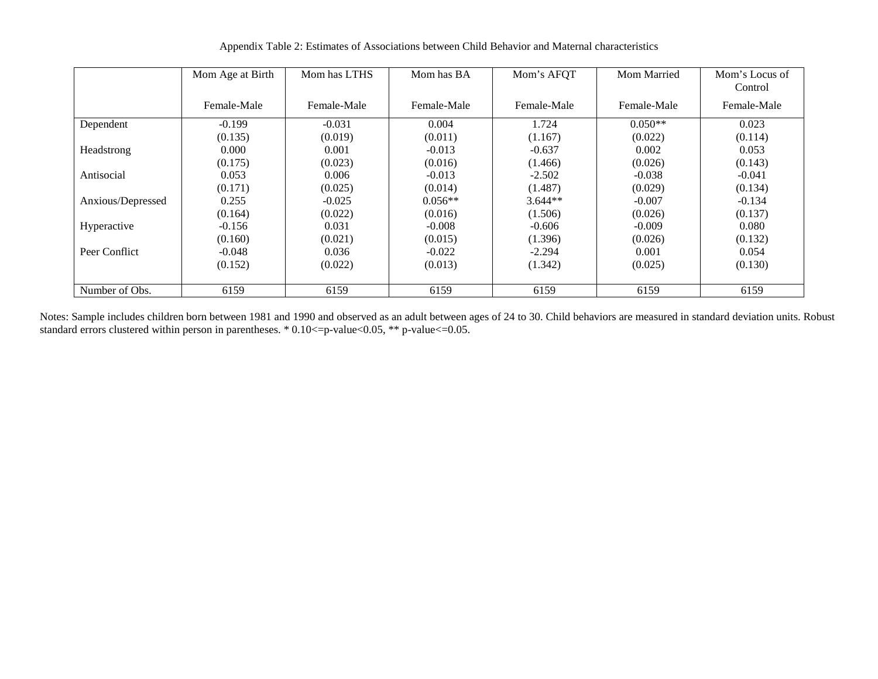|                   | Mom Age at Birth | Mom has LTHS | Mom has BA  | Mom's AFQT  | Mom Married | Mom's Locus of<br>Control |
|-------------------|------------------|--------------|-------------|-------------|-------------|---------------------------|
|                   | Female-Male      | Female-Male  | Female-Male | Female-Male | Female-Male | Female-Male               |
| Dependent         | $-0.199$         | $-0.031$     | 0.004       | 1.724       | $0.050**$   | 0.023                     |
|                   | (0.135)          | (0.019)      | (0.011)     | (1.167)     | (0.022)     | (0.114)                   |
| Headstrong        | 0.000            | 0.001        | $-0.013$    | $-0.637$    | 0.002       | 0.053                     |
|                   | (0.175)          | (0.023)      | (0.016)     | (1.466)     | (0.026)     | (0.143)                   |
| Antisocial        | 0.053            | 0.006        | $-0.013$    | $-2.502$    | $-0.038$    | $-0.041$                  |
|                   | (0.171)          | (0.025)      | (0.014)     | (1.487)     | (0.029)     | (0.134)                   |
| Anxious/Depressed | 0.255            | $-0.025$     | $0.056**$   | $3.644**$   | $-0.007$    | $-0.134$                  |
|                   | (0.164)          | (0.022)      | (0.016)     | (1.506)     | (0.026)     | (0.137)                   |
| Hyperactive       | $-0.156$         | 0.031        | $-0.008$    | $-0.606$    | $-0.009$    | 0.080                     |
|                   | (0.160)          | (0.021)      | (0.015)     | (1.396)     | (0.026)     | (0.132)                   |
| Peer Conflict     | $-0.048$         | 0.036        | $-0.022$    | $-2.294$    | 0.001       | 0.054                     |
|                   | (0.152)          | (0.022)      | (0.013)     | (1.342)     | (0.025)     | (0.130)                   |
|                   |                  |              |             |             |             |                           |
| Number of Obs.    | 6159             | 6159         | 6159        | 6159        | 6159        | 6159                      |

Appendix Table 2: Estimates of Associations between Child Behavior and Maternal characteristics

Notes: Sample includes children born between 1981 and 1990 and observed as an adult between ages of 24 to 30. Child behaviors are measured in standard deviation units. Robust standard errors clustered within person in parentheses. \*  $0.10 \le p$ -value $< 0.05$ , \*\* p-value $< 0.05$ .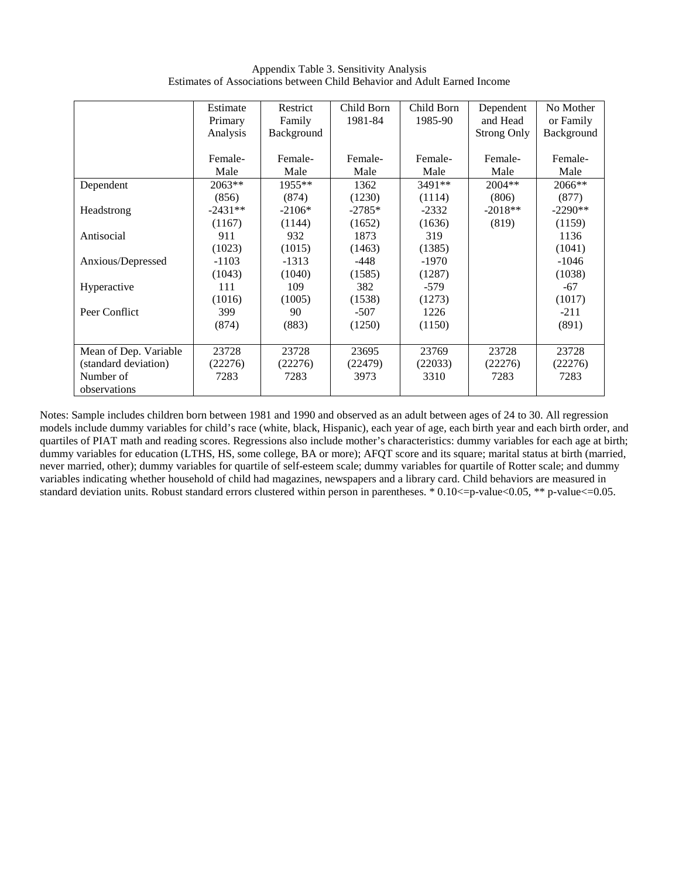Appendix Table 3. Sensitivity Analysis Estimates of Associations between Child Behavior and Adult Earned Income

|                       | Estimate  | Restrict   | Child Born | Child Born | Dependent          | No Mother  |
|-----------------------|-----------|------------|------------|------------|--------------------|------------|
|                       | Primary   | Family     | 1981-84    | 1985-90    | and Head           | or Family  |
|                       | Analysis  | Background |            |            | <b>Strong Only</b> | Background |
|                       |           |            |            |            |                    |            |
|                       | Female-   | Female-    | Female-    | Female-    | Female-            | Female-    |
|                       | Male      | Male       | Male       | Male       | Male               | Male       |
| Dependent             | 2063**    | $1955**$   | 1362       | 3491**     | $2004**$           | $2066**$   |
|                       | (856)     | (874)      | (1230)     | (1114)     | (806)              | (877)      |
| Headstrong            | $-2431**$ | $-2106*$   | $-2785*$   | $-2332$    | $-2018**$          | $-2290**$  |
|                       | (1167)    | (1144)     | (1652)     | (1636)     | (819)              | (1159)     |
| Antisocial            | 911       | 932        | 1873       | 319        |                    | 1136       |
|                       | (1023)    | (1015)     | (1463)     | (1385)     |                    | (1041)     |
| Anxious/Depressed     | $-1103$   | $-1313$    | $-448$     | $-1970$    |                    | $-1046$    |
|                       | (1043)    | (1040)     | (1585)     | (1287)     |                    | (1038)     |
| Hyperactive           | 111       | 109        | 382        | $-579$     |                    | $-67$      |
|                       | (1016)    | (1005)     | (1538)     | (1273)     |                    | (1017)     |
| Peer Conflict         | 399       | 90         | $-507$     | 1226       |                    | $-211$     |
|                       | (874)     | (883)      | (1250)     | (1150)     |                    | (891)      |
|                       |           |            |            |            |                    |            |
| Mean of Dep. Variable | 23728     | 23728      | 23695      | 23769      | 23728              | 23728      |
| (standard deviation)  | (22276)   | (22276)    | (22479)    | (22033)    | (22276)            | (22276)    |
| Number of             | 7283      | 7283       | 3973       | 3310       | 7283               | 7283       |
| observations          |           |            |            |            |                    |            |

Notes: Sample includes children born between 1981 and 1990 and observed as an adult between ages of 24 to 30. All regression models include dummy variables for child's race (white, black, Hispanic), each year of age, each birth year and each birth order, and quartiles of PIAT math and reading scores. Regressions also include mother's characteristics: dummy variables for each age at birth; dummy variables for education (LTHS, HS, some college, BA or more); AFQT score and its square; marital status at birth (married, never married, other); dummy variables for quartile of self-esteem scale; dummy variables for quartile of Rotter scale; and dummy variables indicating whether household of child had magazines, newspapers and a library card. Child behaviors are measured in standard deviation units. Robust standard errors clustered within person in parentheses. \* 0.10 <= p-value<0.05, \*\* p-value<=0.05.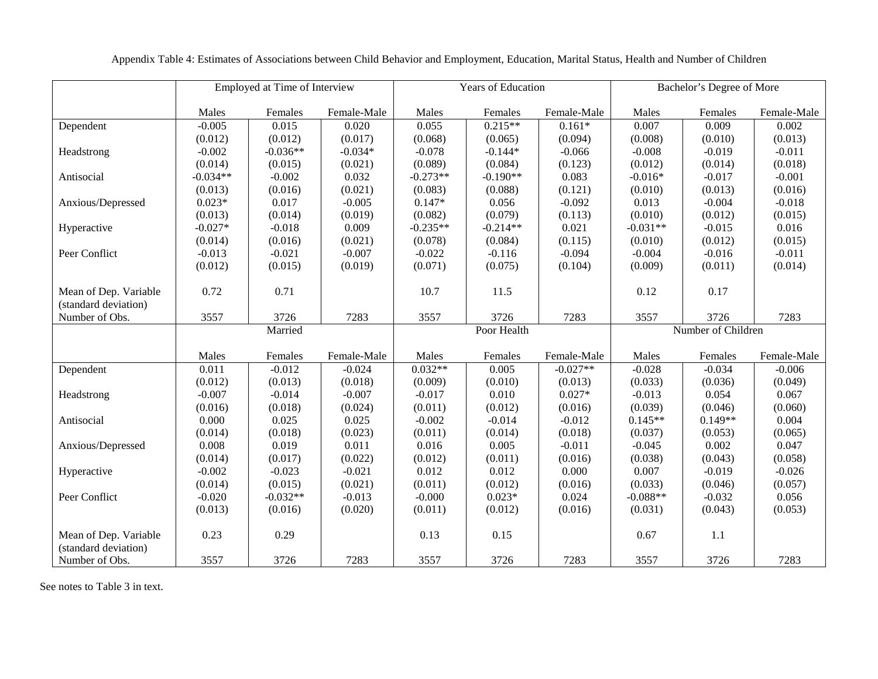|                                               |            | Employed at Time of Interview |             |            | Years of Education |             | Bachelor's Degree of More |                    |             |
|-----------------------------------------------|------------|-------------------------------|-------------|------------|--------------------|-------------|---------------------------|--------------------|-------------|
|                                               | Males      | Females                       | Female-Male | Males      | Females            | Female-Male | Males                     | Females            | Female-Male |
| Dependent                                     | $-0.005$   | 0.015                         | 0.020       | 0.055      | $0.215**$          | $0.161*$    | 0.007                     | 0.009              | 0.002       |
|                                               | (0.012)    | (0.012)                       | (0.017)     | (0.068)    | (0.065)            | (0.094)     | (0.008)                   | (0.010)            | (0.013)     |
| Headstrong                                    | $-0.002$   | $-0.036**$                    | $-0.034*$   | $-0.078$   | $-0.144*$          | $-0.066$    | $-0.008$                  | $-0.019$           | $-0.011$    |
|                                               | (0.014)    | (0.015)                       | (0.021)     | (0.089)    | (0.084)            | (0.123)     | (0.012)                   | (0.014)            | (0.018)     |
| Antisocial                                    | $-0.034**$ | $-0.002$                      | 0.032       | $-0.273**$ | $-0.190**$         | 0.083       | $-0.016*$                 | $-0.017$           | $-0.001$    |
|                                               | (0.013)    | (0.016)                       | (0.021)     | (0.083)    | (0.088)            | (0.121)     | (0.010)                   | (0.013)            | (0.016)     |
| Anxious/Depressed                             | $0.023*$   | 0.017                         | $-0.005$    | $0.147*$   | 0.056              | $-0.092$    | 0.013                     | $-0.004$           | $-0.018$    |
|                                               | (0.013)    | (0.014)                       | (0.019)     | (0.082)    | (0.079)            | (0.113)     | (0.010)                   | (0.012)            | (0.015)     |
| Hyperactive                                   | $-0.027*$  | $-0.018$                      | 0.009       | $-0.235**$ | $-0.214**$         | 0.021       | $-0.031**$                | $-0.015$           | 0.016       |
|                                               | (0.014)    | (0.016)                       | (0.021)     | (0.078)    | (0.084)            | (0.115)     | (0.010)                   | (0.012)            | (0.015)     |
| Peer Conflict                                 | $-0.013$   | $-0.021$                      | $-0.007$    | $-0.022$   | $-0.116$           | $-0.094$    | $-0.004$                  | $-0.016$           | $-0.011$    |
|                                               | (0.012)    | (0.015)                       | (0.019)     | (0.071)    | (0.075)            | (0.104)     | (0.009)                   | (0.011)            | (0.014)     |
| Mean of Dep. Variable<br>(standard deviation) | 0.72       | 0.71                          |             | 10.7       | 11.5               |             | 0.12                      | 0.17               |             |
| Number of Obs.                                | 3557       | 3726                          | 7283        | 3557       | 3726               | 7283        | 3557                      | 3726               | 7283        |
|                                               |            | Married                       |             |            | Poor Health        |             |                           | Number of Children |             |
|                                               | Males      | Females                       | Female-Male | Males      | Females            | Female-Male | Males                     | Females            | Female-Male |
| Dependent                                     | 0.011      | $-0.012$                      | $-0.024$    | $0.032**$  | 0.005              | $-0.027**$  | $-0.028$                  | $-0.034$           | $-0.006$    |
|                                               | (0.012)    | (0.013)                       | (0.018)     | (0.009)    | (0.010)            | (0.013)     | (0.033)                   | (0.036)            | (0.049)     |
| Headstrong                                    | $-0.007$   | $-0.014$                      | $-0.007$    | $-0.017$   | 0.010              | $0.027*$    | $-0.013$                  | 0.054              | 0.067       |
|                                               | (0.016)    | (0.018)                       | (0.024)     | (0.011)    | (0.012)            | (0.016)     | (0.039)                   | (0.046)            | (0.060)     |
| Antisocial                                    | 0.000      | 0.025                         | 0.025       | $-0.002$   | $-0.014$           | $-0.012$    | $0.145**$                 | $0.149**$          | 0.004       |
|                                               | (0.014)    | (0.018)                       | (0.023)     | (0.011)    | (0.014)            | (0.018)     | (0.037)                   | (0.053)            | (0.065)     |
| Anxious/Depressed                             | 0.008      | 0.019                         | 0.011       | 0.016      | 0.005              | $-0.011$    | $-0.045$                  | 0.002              | 0.047       |
|                                               | (0.014)    | (0.017)                       | (0.022)     | (0.012)    | (0.011)            | (0.016)     | (0.038)                   | (0.043)            | (0.058)     |
| Hyperactive                                   | $-0.002$   | $-0.023$                      | $-0.021$    | 0.012      | 0.012              | 0.000       | 0.007                     | $-0.019$           | $-0.026$    |
|                                               | (0.014)    | (0.015)                       | (0.021)     | (0.011)    | (0.012)            | (0.016)     | (0.033)                   | (0.046)            | (0.057)     |
| Peer Conflict                                 | $-0.020$   | $-0.032**$                    | $-0.013$    | $-0.000$   | $0.023*$           | 0.024       | $-0.088**$                | $-0.032$           | 0.056       |
|                                               | (0.013)    | (0.016)                       | (0.020)     | (0.011)    | (0.012)            | (0.016)     | (0.031)                   | (0.043)            | (0.053)     |
| Mean of Dep. Variable<br>(standard deviation) | 0.23       | 0.29                          |             | 0.13       | 0.15               |             | 0.67                      | 1.1                |             |
| Number of Obs.                                | 3557       | 3726                          | 7283        | 3557       | 3726               | 7283        | 3557                      | 3726               | 7283        |

Appendix Table 4: Estimates of Associations between Child Behavior and Employment, Education, Marital Status, Health and Number of Children

See notes to Table 3 in text.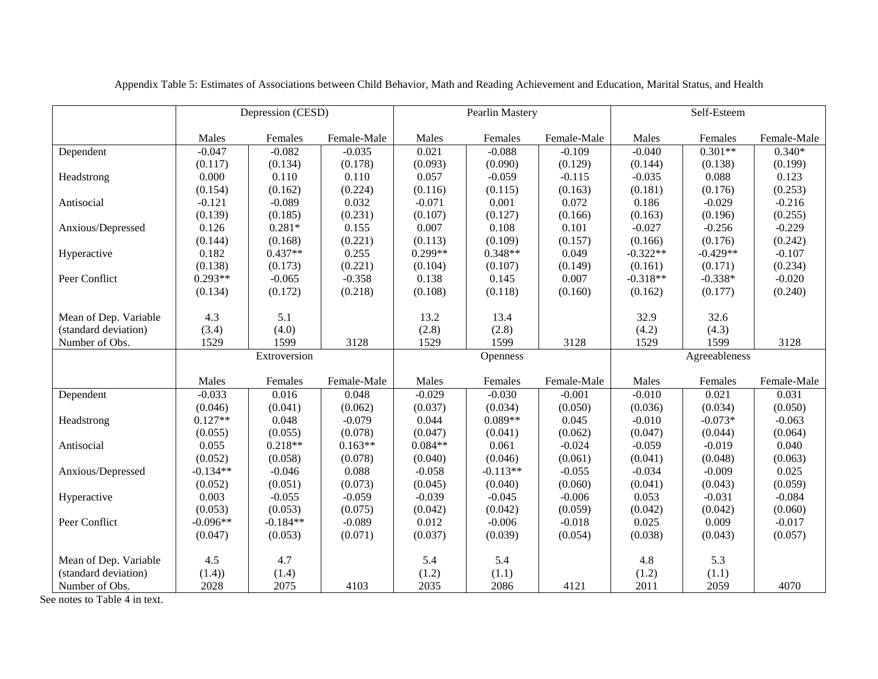|                                        |               | Depression (CESD) |             |               | Pearlin Mastery |             | Self-Esteem   |               |             |
|----------------------------------------|---------------|-------------------|-------------|---------------|-----------------|-------------|---------------|---------------|-------------|
|                                        | Males         | Females           | Female-Male | Males         | Females         | Female-Male | Males         | Females       | Female-Male |
| Dependent                              | $-0.047$      | $-0.082$          | $-0.035$    | 0.021         | $-0.088$        | $-0.109$    | $-0.040$      | $0.301**$     | $0.340*$    |
|                                        | (0.117)       | (0.134)           | (0.178)     | (0.093)       | (0.090)         | (0.129)     | (0.144)       | (0.138)       | (0.199)     |
| Headstrong                             | 0.000         | 0.110             | 0.110       | 0.057         | $-0.059$        | $-0.115$    | $-0.035$      | 0.088         | 0.123       |
|                                        | (0.154)       | (0.162)           | (0.224)     | (0.116)       | (0.115)         | (0.163)     | (0.181)       | (0.176)       | (0.253)     |
| Antisocial                             | $-0.121$      | $-0.089$          | 0.032       | $-0.071$      | 0.001           | 0.072       | 0.186         | $-0.029$      | $-0.216$    |
|                                        | (0.139)       | (0.185)           | (0.231)     | (0.107)       | (0.127)         | (0.166)     | (0.163)       | (0.196)       | (0.255)     |
| Anxious/Depressed                      | 0.126         | $0.281*$          | 0.155       | 0.007         | 0.108           | 0.101       | $-0.027$      | $-0.256$      | $-0.229$    |
|                                        | (0.144)       | (0.168)           | (0.221)     | (0.113)       | (0.109)         | (0.157)     | (0.166)       | (0.176)       | (0.242)     |
| Hyperactive                            | 0.182         | $0.437**$         | 0.255       | $0.299**$     | $0.348**$       | 0.049       | $-0.322**$    | $-0.429**$    | $-0.107$    |
|                                        | (0.138)       | (0.173)           | (0.221)     | (0.104)       | (0.107)         | (0.149)     | (0.161)       | (0.171)       | (0.234)     |
| Peer Conflict                          | $0.293**$     | $-0.065$          | $-0.358$    | 0.138         | 0.145           | 0.007       | $-0.318**$    | $-0.338*$     | $-0.020$    |
|                                        | (0.134)       | (0.172)           | (0.218)     | (0.108)       | (0.118)         | (0.160)     | (0.162)       | (0.177)       | (0.240)     |
|                                        |               |                   |             |               |                 |             |               |               |             |
| Mean of Dep. Variable                  | 4.3           | 5.1               |             | 13.2          | 13.4            |             | 32.9          | 32.6          |             |
| (standard deviation)                   | (3.4)         | (4.0)             |             | (2.8)         | (2.8)           |             | (4.2)         | (4.3)         |             |
| Number of Obs.                         | 1529          | 1599              | 3128        | 1529          | 1599            | 3128        | 1529          | 1599          | 3128        |
|                                        |               | Extroversion      |             |               | <b>Openness</b> |             |               | Agreeableness |             |
|                                        | Males         | Females           | Female-Male | Males         | Females         | Female-Male | Males         | Females       | Female-Male |
| Dependent                              | $-0.033$      | 0.016             | 0.048       | $-0.029$      | $-0.030$        | $-0.001$    | $-0.010$      | 0.021         | 0.031       |
|                                        | (0.046)       | (0.041)           | (0.062)     | (0.037)       | (0.034)         | (0.050)     | (0.036)       | (0.034)       | (0.050)     |
| Headstrong                             | $0.127**$     | 0.048             | $-0.079$    | 0.044         | $0.089**$       | 0.045       | $-0.010$      | $-0.073*$     | $-0.063$    |
|                                        | (0.055)       | (0.055)           | (0.078)     | (0.047)       | (0.041)         | (0.062)     | (0.047)       | (0.044)       | (0.064)     |
| Antisocial                             | 0.055         | $0.218**$         | $0.163**$   | $0.084**$     | 0.061           | $-0.024$    | $-0.059$      | $-0.019$      | 0.040       |
|                                        |               |                   |             |               |                 |             |               |               |             |
|                                        | (0.052)       | (0.058)           | (0.078)     | (0.040)       | (0.046)         | (0.061)     | (0.041)       | (0.048)       | (0.063)     |
| Anxious/Depressed                      | $-0.134**$    | $-0.046$          | 0.088       | $-0.058$      | $-0.113**$      | $-0.055$    | $-0.034$      | $-0.009$      | 0.025       |
|                                        | (0.052)       | (0.051)           | (0.073)     | (0.045)       | (0.040)         | (0.060)     | (0.041)       | (0.043)       | (0.059)     |
| Hyperactive                            | 0.003         | $-0.055$          | $-0.059$    | $-0.039$      | $-0.045$        | $-0.006$    | 0.053         | $-0.031$      | $-0.084$    |
|                                        | (0.053)       | (0.053)           | (0.075)     | (0.042)       | (0.042)         | (0.059)     | (0.042)       | (0.042)       | (0.060)     |
| Peer Conflict                          | $-0.096**$    | $-0.184**$        | $-0.089$    | 0.012         | $-0.006$        | $-0.018$    | 0.025         | 0.009         | $-0.017$    |
|                                        | (0.047)       | (0.053)           | (0.071)     | (0.037)       | (0.039)         | (0.054)     | (0.038)       | (0.043)       | (0.057)     |
|                                        |               |                   |             |               |                 |             |               |               |             |
| Mean of Dep. Variable                  | 4.5           | 4.7               |             | 5.4           | 5.4             |             | 4.8           | 5.3           |             |
| (standard deviation)<br>Number of Obs. | (1.4)<br>2028 | (1.4)<br>2075     | 4103        | (1.2)<br>2035 | (1.1)<br>2086   | 4121        | (1.2)<br>2011 | (1.1)<br>2059 | 4070        |

Appendix Table 5: Estimates of Associations between Child Behavior, Math and Reading Achievement and Education, Marital Status, and Health

See notes to Table 4 in text.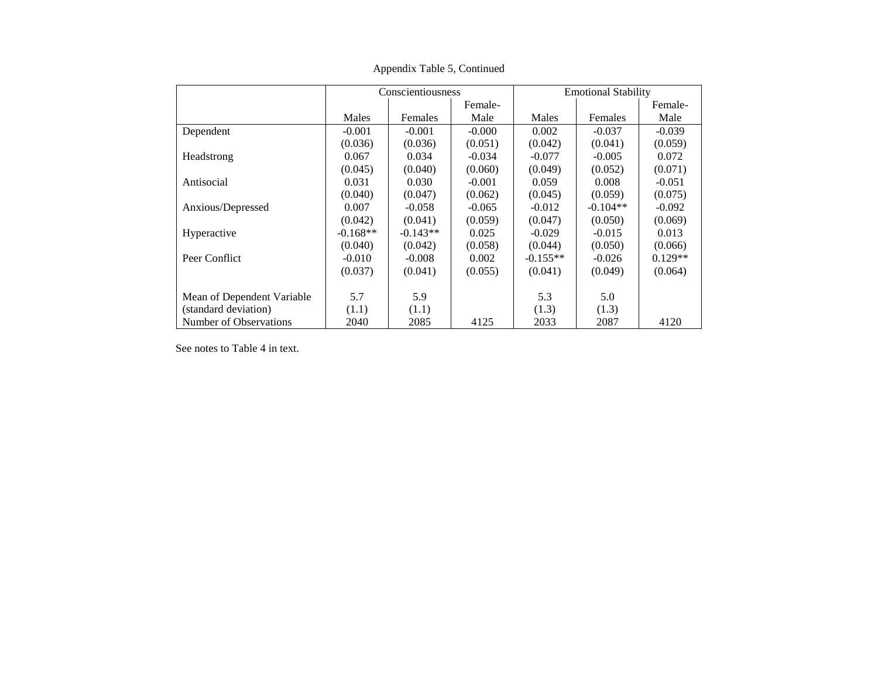|                            |            | Conscientiousness |          | <b>Emotional Stability</b> |            |           |  |
|----------------------------|------------|-------------------|----------|----------------------------|------------|-----------|--|
|                            |            |                   | Female-  |                            |            | Female-   |  |
|                            | Males      | Females           | Male     | Males                      | Females    | Male      |  |
| Dependent                  | $-0.001$   | $-0.001$          | $-0.000$ | 0.002                      | $-0.037$   | $-0.039$  |  |
|                            | (0.036)    | (0.036)           | (0.051)  | (0.042)                    | (0.041)    | (0.059)   |  |
| Headstrong                 | 0.067      | 0.034             | $-0.034$ | $-0.077$                   | $-0.005$   | 0.072     |  |
|                            | (0.045)    | (0.040)           | (0.060)  | (0.049)                    | (0.052)    | (0.071)   |  |
| Antisocial                 | 0.031      | 0.030             | $-0.001$ | 0.059                      | 0.008      | $-0.051$  |  |
|                            | (0.040)    | (0.047)           | (0.062)  | (0.045)                    | (0.059)    | (0.075)   |  |
| Anxious/Depressed          | 0.007      | $-0.058$          | $-0.065$ | $-0.012$                   | $-0.104**$ | $-0.092$  |  |
|                            | (0.042)    | (0.041)           | (0.059)  | (0.047)                    | (0.050)    | (0.069)   |  |
| Hyperactive                | $-0.168**$ | $-0.143**$        | 0.025    | $-0.029$                   | $-0.015$   | 0.013     |  |
|                            | (0.040)    | (0.042)           | (0.058)  | (0.044)                    | (0.050)    | (0.066)   |  |
| Peer Conflict              | $-0.010$   | $-0.008$          | 0.002    | $-0.155**$                 | $-0.026$   | $0.129**$ |  |
|                            | (0.037)    | (0.041)           | (0.055)  | (0.041)                    | (0.049)    | (0.064)   |  |
| Mean of Dependent Variable | 5.7        | 5.9               |          | 5.3                        | 5.0        |           |  |
| (standard deviation)       | (1.1)      | (1.1)             |          | (1.3)                      | (1.3)      |           |  |
| Number of Observations     | 2040       | 2085              | 4125     | 2033                       | 2087       | 4120      |  |

Appendix Table 5, Continued

See notes to Table 4 in text.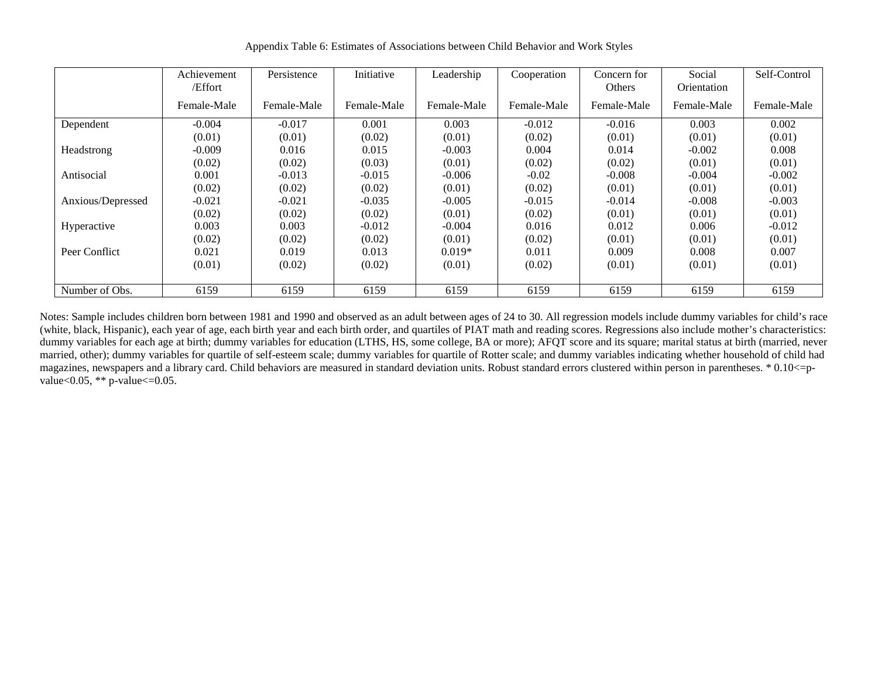|                   | Achievement | Persistence | Initiative  | Leadership  | Cooperation | Concern for | Social      | Self-Control |
|-------------------|-------------|-------------|-------------|-------------|-------------|-------------|-------------|--------------|
|                   | /Effort     |             |             |             |             | Others      | Orientation |              |
|                   | Female-Male | Female-Male | Female-Male | Female-Male | Female-Male | Female-Male | Female-Male | Female-Male  |
| Dependent         | $-0.004$    | $-0.017$    | 0.001       | 0.003       | $-0.012$    | $-0.016$    | 0.003       | 0.002        |
|                   | (0.01)      | (0.01)      | (0.02)      | (0.01)      | (0.02)      | (0.01)      | (0.01)      | (0.01)       |
| Headstrong        | $-0.009$    | 0.016       | 0.015       | $-0.003$    | 0.004       | 0.014       | $-0.002$    | 0.008        |
|                   | (0.02)      | (0.02)      | (0.03)      | (0.01)      | (0.02)      | (0.02)      | (0.01)      | (0.01)       |
| Antisocial        | 0.001       | $-0.013$    | $-0.015$    | $-0.006$    | $-0.02$     | $-0.008$    | $-0.004$    | $-0.002$     |
|                   | (0.02)      | (0.02)      | (0.02)      | (0.01)      | (0.02)      | (0.01)      | (0.01)      | (0.01)       |
| Anxious/Depressed | $-0.021$    | $-0.021$    | $-0.035$    | $-0.005$    | $-0.015$    | $-0.014$    | $-0.008$    | $-0.003$     |
|                   | (0.02)      | (0.02)      | (0.02)      | (0.01)      | (0.02)      | (0.01)      | (0.01)      | (0.01)       |
| Hyperactive       | 0.003       | 0.003       | $-0.012$    | $-0.004$    | 0.016       | 0.012       | 0.006       | $-0.012$     |
|                   | (0.02)      | (0.02)      | (0.02)      | (0.01)      | (0.02)      | (0.01)      | (0.01)      | (0.01)       |
| Peer Conflict     | 0.021       | 0.019       | 0.013       | $0.019*$    | 0.011       | 0.009       | 0.008       | 0.007        |
|                   | (0.01)      | (0.02)      | (0.02)      | (0.01)      | (0.02)      | (0.01)      | (0.01)      | (0.01)       |
|                   |             |             |             |             |             |             |             |              |
| Number of Obs.    | 6159        | 6159        | 6159        | 6159        | 6159        | 6159        | 6159        | 6159         |

Appendix Table 6: Estimates of Associations between Child Behavior and Work Styles

Notes: Sample includes children born between 1981 and 1990 and observed as an adult between ages of 24 to 30. All regression models include dummy variables for child's race (white, black, Hispanic), each year of age, each birth year and each birth order, and quartiles of PIAT math and reading scores. Regressions also include mother's characteristics: dummy variables for each age at birth; dummy variables for education (LTHS, HS, some college, BA or more); AFQT score and its square; marital status at birth (married, never married, other); dummy variables for quartile of self-esteem scale; dummy variables for quartile of Rotter scale; and dummy variables indicating whether household of child had magazines, newspapers and a library card. Child behaviors are measured in standard deviation units. Robust standard errors clustered within person in parentheses. \* 0.10<=pvalue< $0.05$ , \*\* p-value $\leq 0.05$ .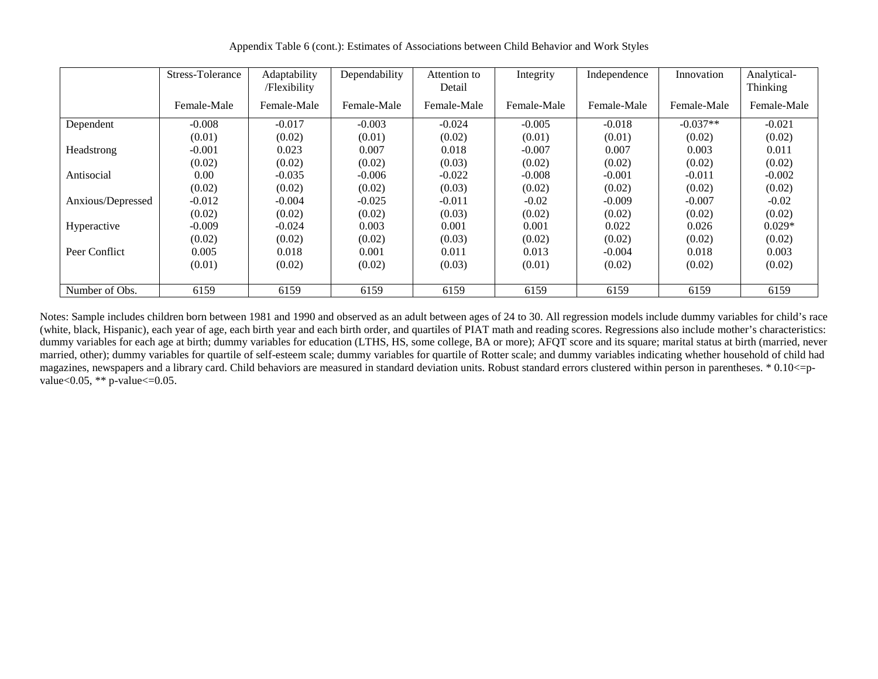Appendix Table 6 (cont.): Estimates of Associations between Child Behavior and Work Styles

|                   | Stress-Tolerance | Adaptability<br>/Flexibility | Dependability | Attention to<br>Detail | Integrity   | Independence | Innovation  | Analytical-<br>Thinking |
|-------------------|------------------|------------------------------|---------------|------------------------|-------------|--------------|-------------|-------------------------|
|                   | Female-Male      | Female-Male                  | Female-Male   | Female-Male            | Female-Male | Female-Male  | Female-Male | Female-Male             |
| Dependent         | $-0.008$         | $-0.017$                     | $-0.003$      | $-0.024$               | $-0.005$    | $-0.018$     | $-0.037**$  | $-0.021$                |
|                   | (0.01)           | (0.02)                       | (0.01)        | (0.02)                 | (0.01)      | (0.01)       | (0.02)      | (0.02)                  |
| Headstrong        | $-0.001$         | 0.023                        | 0.007         | 0.018                  | $-0.007$    | 0.007        | 0.003       | 0.011                   |
|                   | (0.02)           | (0.02)                       | (0.02)        | (0.03)                 | (0.02)      | (0.02)       | (0.02)      | (0.02)                  |
| Antisocial        | 0.00             | $-0.035$                     | $-0.006$      | $-0.022$               | $-0.008$    | $-0.001$     | $-0.011$    | $-0.002$                |
|                   | (0.02)           | (0.02)                       | (0.02)        | (0.03)                 | (0.02)      | (0.02)       | (0.02)      | (0.02)                  |
| Anxious/Depressed | $-0.012$         | $-0.004$                     | $-0.025$      | $-0.011$               | $-0.02$     | $-0.009$     | $-0.007$    | $-0.02$                 |
|                   | (0.02)           | (0.02)                       | (0.02)        | (0.03)                 | (0.02)      | (0.02)       | (0.02)      | (0.02)                  |
| Hyperactive       | $-0.009$         | $-0.024$                     | 0.003         | 0.001                  | 0.001       | 0.022        | 0.026       | $0.029*$                |
|                   | (0.02)           | (0.02)                       | (0.02)        | (0.03)                 | (0.02)      | (0.02)       | (0.02)      | (0.02)                  |
| Peer Conflict     | 0.005            | 0.018                        | 0.001         | 0.011                  | 0.013       | $-0.004$     | 0.018       | 0.003                   |
|                   | (0.01)           | (0.02)                       | (0.02)        | (0.03)                 | (0.01)      | (0.02)       | (0.02)      | (0.02)                  |
|                   |                  |                              |               |                        |             |              |             |                         |
| Number of Obs.    | 6159             | 6159                         | 6159          | 6159                   | 6159        | 6159         | 6159        | 6159                    |

Notes: Sample includes children born between 1981 and 1990 and observed as an adult between ages of 24 to 30. All regression models include dummy variables for child's race (white, black, Hispanic), each year of age, each birth year and each birth order, and quartiles of PIAT math and reading scores. Regressions also include mother's characteristics: dummy variables for each age at birth; dummy variables for education (LTHS, HS, some college, BA or more); AFQT score and its square; marital status at birth (married, never married, other); dummy variables for quartile of self-esteem scale; dummy variables for quartile of Rotter scale; and dummy variables indicating whether household of child had magazines, newspapers and a library card. Child behaviors are measured in standard deviation units. Robust standard errors clustered within person in parentheses. \* 0.10<=pvalue< $0.05$ , \*\* p-value $\leq 0.05$ .